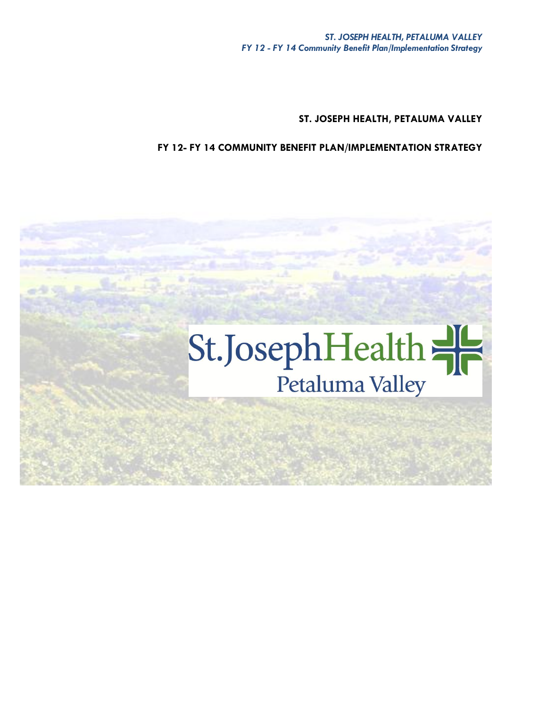**ST. JOSEPH HEALTH, PETALUMA VALLEY**

**FY 12- FY 14 COMMUNITY BENEFIT PLAN/IMPLEMENTATION STRATEGY**

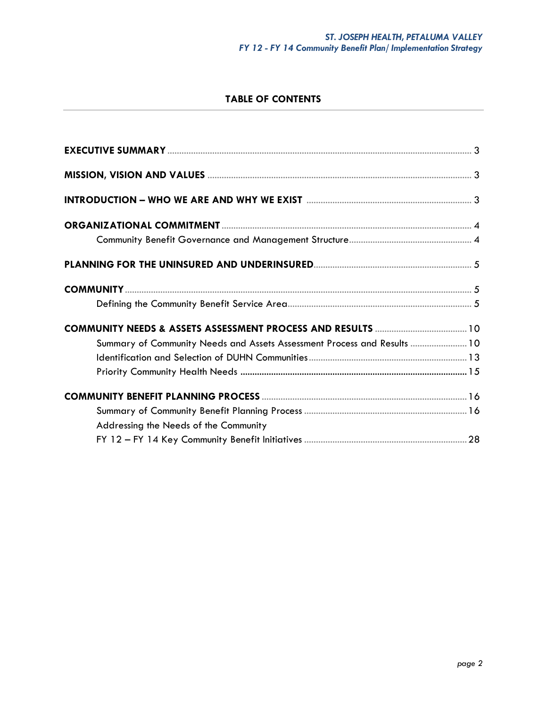# **TABLE OF CONTENTS**

| Summary of Community Needs and Assets Assessment Process and Results  10 |  |
|--------------------------------------------------------------------------|--|
|                                                                          |  |
|                                                                          |  |
|                                                                          |  |
|                                                                          |  |
| Addressing the Needs of the Community                                    |  |
|                                                                          |  |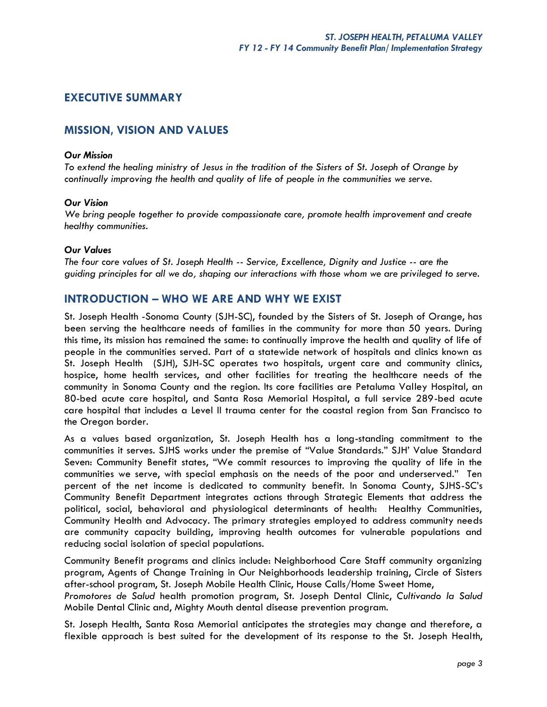# **EXECUTIVE SUMMARY**

# **MISSION, VISION AND VALUES**

#### *Our Mission*

*To extend the healing ministry of Jesus in the tradition of the Sisters of St. Joseph of Orange by continually improving the health and quality of life of people in the communities we serve.*

## *Our Vision*

*We bring people together to provide compassionate care, promote health improvement and create healthy communities.* 

## *Our Values*

*The four core values of St. Joseph Health -- Service, Excellence, Dignity and Justice -- are the guiding principles for all we do, shaping our interactions with those whom we are privileged to serve.*

# **INTRODUCTION – WHO WE ARE AND WHY WE EXIST**

St. Joseph Health -Sonoma County (SJH-SC), founded by the Sisters of St. Joseph of Orange, has been serving the healthcare needs of families in the community for more than 50 years. During this time, its mission has remained the same: to continually improve the health and quality of life of people in the communities served. Part of a statewide network of hospitals and clinics known as St. Joseph Health (SJH), SJH-SC operates two hospitals, urgent care and community clinics, hospice, home health services, and other facilities for treating the healthcare needs of the community in Sonoma County and the region. Its core facilities are Petaluma Valley Hospital, an 80-bed acute care hospital, and Santa Rosa Memorial Hospital, a full service 289-bed acute care hospital that includes a Level II trauma center for the coastal region from San Francisco to the Oregon border.

As a values based organization, St. Joseph Health has a long-standing commitment to the communities it serves. SJHS works under the premise of "Value Standards." SJH' Value Standard Seven: Community Benefit states, "We commit resources to improving the quality of life in the communities we serve, with special emphasis on the needs of the poor and underserved." Ten percent of the net income is dedicated to community benefit. In Sonoma County, SJHS-SC's Community Benefit Department integrates actions through Strategic Elements that address the political, social, behavioral and physiological determinants of health: Healthy Communities, Community Health and Advocacy. The primary strategies employed to address community needs are community capacity building, improving health outcomes for vulnerable populations and reducing social isolation of special populations.

Community Benefit programs and clinics include: Neighborhood Care Staff community organizing program, Agents of Change Training in Our Neighborhoods leadership training, Circle of Sisters after-school program, St. Joseph Mobile Health Clinic, House Calls/Home Sweet Home,

*Promotores de Salud* health promotion program, St. Joseph Dental Clinic, *Cultivando la Salud* Mobile Dental Clinic and, Mighty Mouth dental disease prevention program.

St. Joseph Health, Santa Rosa Memorial anticipates the strategies may change and therefore, a flexible approach is best suited for the development of its response to the St. Joseph Health,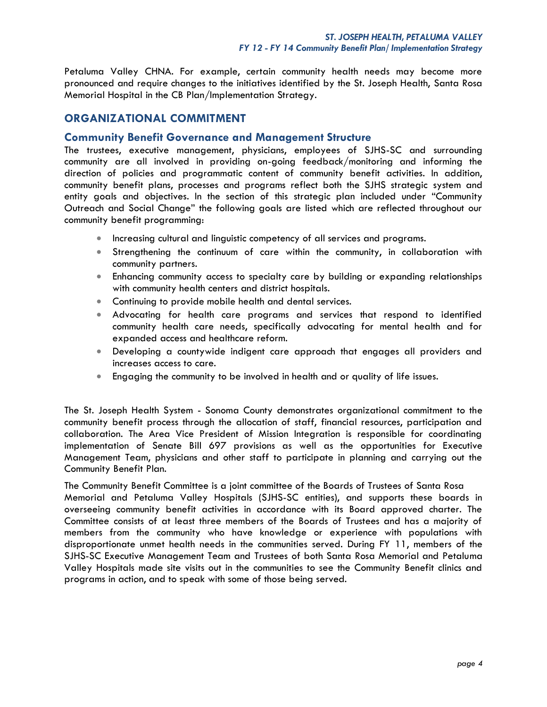Petaluma Valley CHNA. For example, certain community health needs may become more pronounced and require changes to the initiatives identified by the St. Joseph Health, Santa Rosa Memorial Hospital in the CB Plan/Implementation Strategy.

# **ORGANIZATIONAL COMMITMENT**

## **Community Benefit Governance and Management Structure**

The trustees, executive management, physicians, employees of SJHS-SC and surrounding community are all involved in providing on-going feedback/monitoring and informing the direction of policies and programmatic content of community benefit activities. In addition, community benefit plans, processes and programs reflect both the SJHS strategic system and entity goals and objectives. In the section of this strategic plan included under "Community Outreach and Social Change" the following goals are listed which are reflected throughout our community benefit programming:

- **Increasing cultural and linguistic competency of all services and programs.**
- Strengthening the continuum of care within the community, in collaboration with community partners.
- Enhancing community access to specialty care by building or expanding relationships with community health centers and district hospitals.
- Continuing to provide mobile health and dental services.
- Advocating for health care programs and services that respond to identified community health care needs, specifically advocating for mental health and for expanded access and healthcare reform.
- Developing a countywide indigent care approach that engages all providers and increases access to care.
- Engaging the community to be involved in health and or quality of life issues.

The St. Joseph Health System - Sonoma County demonstrates organizational commitment to the community benefit process through the allocation of staff, financial resources, participation and collaboration. The Area Vice President of Mission Integration is responsible for coordinating implementation of Senate Bill 697 provisions as well as the opportunities for Executive Management Team, physicians and other staff to participate in planning and carrying out the Community Benefit Plan.

The Community Benefit Committee is a joint committee of the Boards of Trustees of Santa Rosa Memorial and Petaluma Valley Hospitals (SJHS-SC entities), and supports these boards in overseeing community benefit activities in accordance with its Board approved charter. The Committee consists of at least three members of the Boards of Trustees and has a majority of members from the community who have knowledge or experience with populations with disproportionate unmet health needs in the communities served. During FY 11, members of the SJHS-SC Executive Management Team and Trustees of both Santa Rosa Memorial and Petaluma Valley Hospitals made site visits out in the communities to see the Community Benefit clinics and programs in action, and to speak with some of those being served.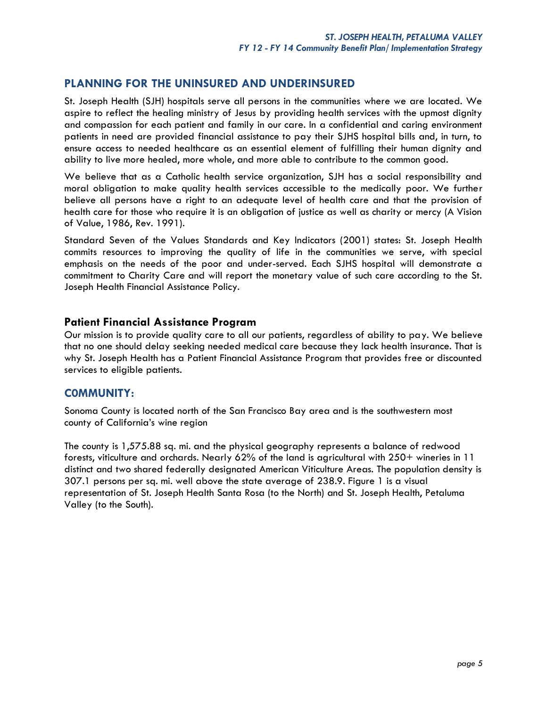# **PLANNING FOR THE UNINSURED AND UNDERINSURED**

St. Joseph Health (SJH) hospitals serve all persons in the communities where we are located. We aspire to reflect the healing ministry of Jesus by providing health services with the upmost dignity and compassion for each patient and family in our care. In a confidential and caring environment patients in need are provided financial assistance to pay their SJHS hospital bills and, in turn, to ensure access to needed healthcare as an essential element of fulfilling their human dignity and ability to live more healed, more whole, and more able to contribute to the common good.

We believe that as a Catholic health service organization, SJH has a social responsibility and moral obligation to make quality health services accessible to the medically poor. We further believe all persons have a right to an adequate level of health care and that the provision of health care for those who require it is an obligation of justice as well as charity or mercy (A Vision of Value, 1986, Rev. 1991).

Standard Seven of the Values Standards and Key Indicators (2001) states: St. Joseph Health commits resources to improving the quality of life in the communities we serve, with special emphasis on the needs of the poor and under-served. Each SJHS hospital will demonstrate a commitment to Charity Care and will report the monetary value of such care according to the St. Joseph Health Financial Assistance Policy.

# **Patient Financial Assistance Program**

Our mission is to provide quality care to all our patients, regardless of ability to pay. We believe that no one should delay seeking needed medical care because they lack health insurance. That is why St. Joseph Health has a Patient Financial Assistance Program that provides free or discounted services to eligible patients.

# **C0MMUNITY:**

Sonoma County is located north of the San Francisco Bay area and is the southwestern most county of California's wine region

The county is 1,575.88 sq. mi. and the physical geography represents a balance of redwood forests, viticulture and orchards. Nearly 62% of the land is agricultural with 250+ wineries in 11 distinct and two shared federally designated American Viticulture Areas. The population density is 307.1 persons per sq. mi. well above the state average of 238.9. Figure 1 is a visual representation of St. Joseph Health Santa Rosa (to the North) and St. Joseph Health, Petaluma Valley (to the South).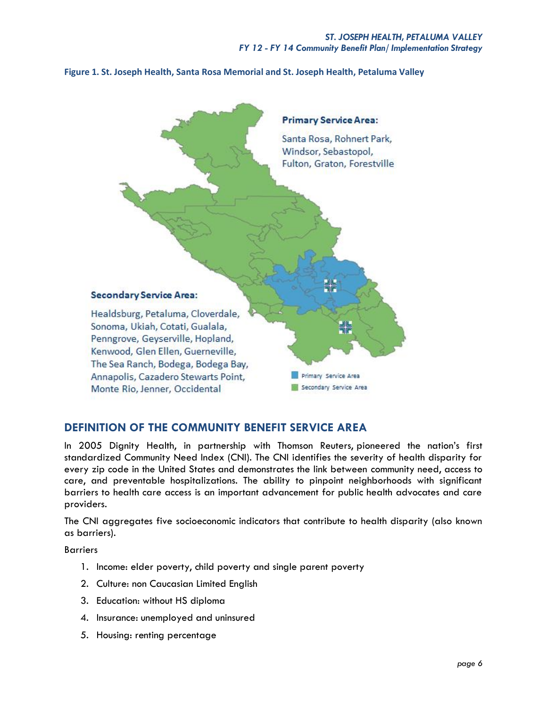**Figure 1. St. Joseph Health, Santa Rosa Memorial and St. Joseph Health, Petaluma Valley**



# **DEFINITION OF THE COMMUNITY BENEFIT SERVICE AREA**

In 2005 Dignity Health, in partnership with Thomson Reuters, pioneered the nation's first standardized Community Need Index (CNI). The CNI identifies the severity of health disparity for every zip code in the United States and demonstrates the link between community need, access to care, and preventable hospitalizations. The ability to pinpoint neighborhoods with significant barriers to health care access is an important advancement for public health advocates and care providers.

The CNI aggregates five socioeconomic indicators that contribute to health disparity (also known as barriers).

Barriers

- 1. Income: elder poverty, child poverty and single parent poverty
- 2. Culture: non Caucasian Limited English
- 3. Education: without HS diploma
- 4. Insurance: unemployed and uninsured
- 5. Housing: renting percentage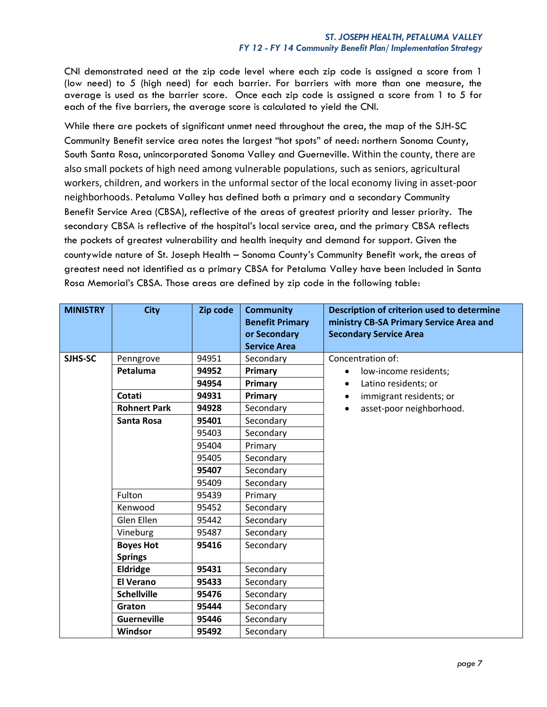CNI demonstrated need at the zip code level where each zip code is assigned a score from 1 (low need) to 5 (high need) for each barrier. For barriers with more than one measure, the average is used as the barrier score. Once each zip code is assigned a score from 1 to 5 for each of the five barriers, the average score is calculated to yield the CNI.

While there are pockets of significant unmet need throughout the area, the map of the SJH-SC Community Benefit service area notes the largest "hot spots" of need: northern Sonoma County, South Santa Rosa, unincorporated Sonoma Valley and Guerneville. Within the county, there are also small pockets of high need among vulnerable populations, such as seniors, agricultural workers, children, and workers in the unformal sector of the local economy living in asset-poor neighborhoods. Petaluma Valley has defined both a primary and a secondary Community Benefit Service Area (CBSA), reflective of the areas of greatest priority and lesser priority. The secondary CBSA is reflective of the hospital's local service area, and the primary CBSA reflects the pockets of greatest vulnerability and health inequity and demand for support. Given the countywide nature of St. Joseph Health – Sonoma County's Community Benefit work, the areas of greatest need not identified as a primary CBSA for Petaluma Valley have been included in Santa Rosa Memorial's CBSA. Those areas are defined by zip code in the following table:

| <b>MINISTRY</b> | <b>City</b>         | Zip code | <b>Community</b><br><b>Benefit Primary</b><br>or Secondary<br><b>Service Area</b> | Description of criterion used to determine<br>ministry CB-SA Primary Service Area and<br><b>Secondary Service Area</b> |
|-----------------|---------------------|----------|-----------------------------------------------------------------------------------|------------------------------------------------------------------------------------------------------------------------|
| SJHS-SC         | Penngrove           | 94951    | Secondary                                                                         | Concentration of:                                                                                                      |
|                 | Petaluma            | 94952    | Primary                                                                           | low-income residents;                                                                                                  |
|                 |                     | 94954    | Primary                                                                           | Latino residents; or                                                                                                   |
|                 | Cotati              | 94931    | Primary                                                                           | immigrant residents; or                                                                                                |
|                 | <b>Rohnert Park</b> | 94928    | Secondary                                                                         | asset-poor neighborhood.                                                                                               |
|                 | Santa Rosa          | 95401    | Secondary                                                                         |                                                                                                                        |
|                 |                     | 95403    | Secondary                                                                         |                                                                                                                        |
|                 |                     | 95404    | Primary                                                                           |                                                                                                                        |
|                 |                     | 95405    | Secondary                                                                         |                                                                                                                        |
|                 |                     | 95407    | Secondary                                                                         |                                                                                                                        |
|                 |                     | 95409    | Secondary                                                                         |                                                                                                                        |
|                 | Fulton              | 95439    | Primary                                                                           |                                                                                                                        |
|                 | Kenwood             | 95452    | Secondary                                                                         |                                                                                                                        |
|                 | Glen Ellen          | 95442    | Secondary                                                                         |                                                                                                                        |
|                 | Vineburg            | 95487    | Secondary                                                                         |                                                                                                                        |
|                 | <b>Boyes Hot</b>    | 95416    | Secondary                                                                         |                                                                                                                        |
|                 | <b>Springs</b>      |          |                                                                                   |                                                                                                                        |
|                 | <b>Eldridge</b>     | 95431    | Secondary                                                                         |                                                                                                                        |
|                 | <b>El Verano</b>    | 95433    | Secondary                                                                         |                                                                                                                        |
|                 | <b>Schellville</b>  | 95476    | Secondary                                                                         |                                                                                                                        |
|                 | Graton              | 95444    | Secondary                                                                         |                                                                                                                        |
|                 | <b>Guerneville</b>  | 95446    | Secondary                                                                         |                                                                                                                        |
|                 | Windsor             | 95492    | Secondary                                                                         |                                                                                                                        |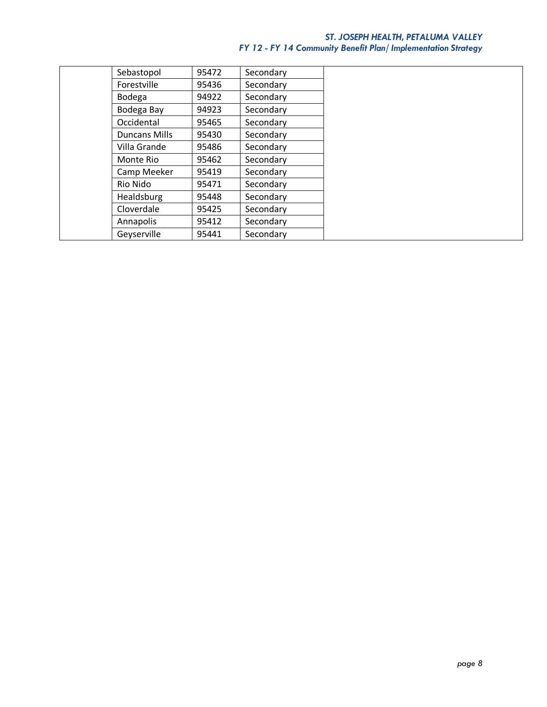# *ST. JOSEPH HEALTH, PETALUMA VALLEY FY 12 - FY 14 Community Benefit Plan/ Implementation Strategy*

| Sebastopol           | 95472 | Secondary |  |
|----------------------|-------|-----------|--|
| Forestville          | 95436 | Secondary |  |
| Bodega               | 94922 | Secondary |  |
| Bodega Bay           | 94923 | Secondary |  |
| Occidental           | 95465 | Secondary |  |
| <b>Duncans Mills</b> | 95430 | Secondary |  |
| Villa Grande         | 95486 | Secondary |  |
| Monte Rio            | 95462 | Secondary |  |
| Camp Meeker          | 95419 | Secondary |  |
| Rio Nido             | 95471 | Secondary |  |
| Healdsburg           | 95448 | Secondary |  |
| Cloverdale           | 95425 | Secondary |  |
| Annapolis            | 95412 | Secondary |  |
| Geyserville          | 95441 | Secondary |  |
|                      |       |           |  |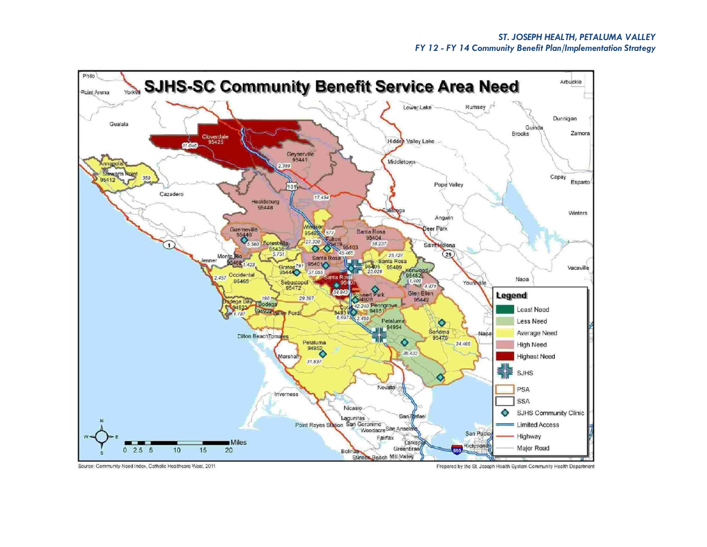

Source: Community Need Index, Catholic Healthcare West, 2011

Prepared by the St. Joseph Health System Community Health Department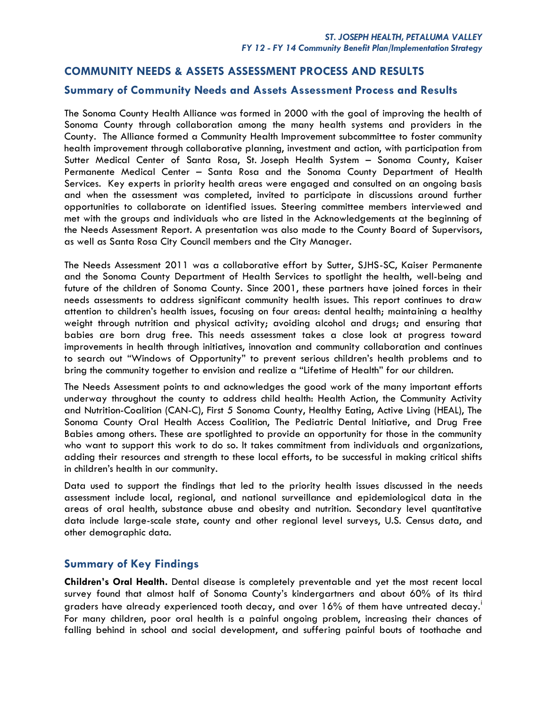# **COMMUNITY NEEDS & ASSETS ASSESSMENT PROCESS AND RESULTS**

# **Summary of Community Needs and Assets Assessment Process and Results**

The Sonoma County Health Alliance was formed in 2000 with the goal of improving the health of Sonoma County through collaboration among the many health systems and providers in the County. The Alliance formed a Community Health Improvement subcommittee to foster community health improvement through collaborative planning, investment and action, with participation from Sutter Medical Center of Santa Rosa, St. Joseph Health System – Sonoma County, Kaiser Permanente Medical Center – Santa Rosa and the Sonoma County Department of Health Services. Key experts in priority health areas were engaged and consulted on an ongoing basis and when the assessment was completed, invited to participate in discussions around further opportunities to collaborate on identified issues. Steering committee members interviewed and met with the groups and individuals who are listed in the Acknowledgements at the beginning of the Needs Assessment Report. A presentation was also made to the County Board of Supervisors, as well as Santa Rosa City Council members and the City Manager.

The Needs Assessment 2011 was a collaborative effort by Sutter, SJHS-SC, Kaiser Permanente and the Sonoma County Department of Health Services to spotlight the health, well-being and future of the children of Sonoma County. Since 2001, these partners have joined forces in their needs assessments to address significant community health issues. This report continues to draw attention to children's health issues, focusing on four areas: dental health; maintaining a healthy weight through nutrition and physical activity; avoiding alcohol and drugs; and ensuring that babies are born drug free. This needs assessment takes a close look at progress toward improvements in health through initiatives, innovation and community collaboration and continues to search out "Windows of Opportunity" to prevent serious children's health problems and to bring the community together to envision and realize a "Lifetime of Health" for our children.

The Needs Assessment points to and acknowledges the good work of the many important efforts underway throughout the county to address child health: Health Action, the Community Activity and Nutrition-Coalition (CAN-C), First 5 Sonoma County, Healthy Eating, Active Living (HEAL), The Sonoma County Oral Health Access Coalition, The Pediatric Dental Initiative, and Drug Free Babies among others. These are spotlighted to provide an opportunity for those in the community who want to support this work to do so. It takes commitment from individuals and organizations, adding their resources and strength to these local efforts, to be successful in making critical shifts in children's health in our community.

Data used to support the findings that led to the priority health issues discussed in the needs assessment include local, regional, and national surveillance and epidemiological data in the areas of oral health, substance abuse and obesity and nutrition. Secondary level quantitative data include large-scale state, county and other regional level surveys, U.S. Census data, and other demographic data.

# **Summary of Key Findings**

**Children's Oral Health.** Dental disease is completely preventable and yet the most recent local survey found that almost half of Sonoma County's kindergartners and about 60% of its third graders have already experienced tooth decay, and over 16% of them have untreated decay. For many children, poor oral health is a painful ongoing problem, increasing their chances of falling behind in school and social development, and suffering painful bouts of toothache and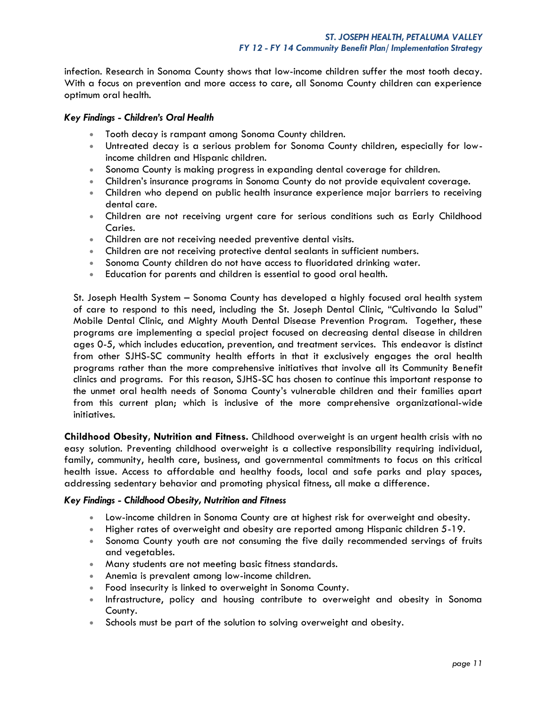infection. Research in Sonoma County shows that low-income children suffer the most tooth decay. With a focus on prevention and more access to care, all Sonoma County children can experience optimum oral health.

## *Key Findings - Children's Oral Health*

- Tooth decay is rampant among Sonoma County children.
- Untreated decay is a serious problem for Sonoma County children, especially for lowincome children and Hispanic children.
- Sonoma County is making progress in expanding dental coverage for children.
- Children's insurance programs in Sonoma County do not provide equivalent coverage.
- Children who depend on public health insurance experience major barriers to receiving dental care.
- Children are not receiving urgent care for serious conditions such as Early Childhood Caries.
- Children are not receiving needed preventive dental visits.
- Children are not receiving protective dental sealants in sufficient numbers.
- Sonoma County children do not have access to fluoridated drinking water.
- Education for parents and children is essential to good oral health.

St. Joseph Health System – Sonoma County has developed a highly focused oral health system of care to respond to this need, including the St. Joseph Dental Clinic, "Cultivando la Salud" Mobile Dental Clinic, and Mighty Mouth Dental Disease Prevention Program. Together, these programs are implementing a special project focused on decreasing dental disease in children ages 0-5, which includes education, prevention, and treatment services. This endeavor is distinct from other SJHS-SC community health efforts in that it exclusively engages the oral health programs rather than the more comprehensive initiatives that involve all its Community Benefit clinics and programs. For this reason, SJHS-SC has chosen to continue this important response to the unmet oral health needs of Sonoma County's vulnerable children and their families apart from this current plan; which is inclusive of the more comprehensive organizational-wide initiatives.

**Childhood Obesity, Nutrition and Fitness.** Childhood overweight is an urgent health crisis with no easy solution. Preventing childhood overweight is a collective responsibility requiring individual, family, community, health care, business, and governmental commitments to focus on this critical health issue. Access to affordable and healthy foods, local and safe parks and play spaces, addressing sedentary behavior and promoting physical fitness, all make a difference.

#### *Key Findings - Childhood Obesity, Nutrition and Fitness*

- Low-income children in Sonoma County are at highest risk for overweight and obesity.
- Higher rates of overweight and obesity are reported among Hispanic children 5-19.
- Sonoma County youth are not consuming the five daily recommended servings of fruits and vegetables.
- Many students are not meeting basic fitness standards.
- Anemia is prevalent among low-income children.
- Food insecurity is linked to overweight in Sonoma County.
- Infrastructure, policy and housing contribute to overweight and obesity in Sonoma County.
- Schools must be part of the solution to solving overweight and obesity.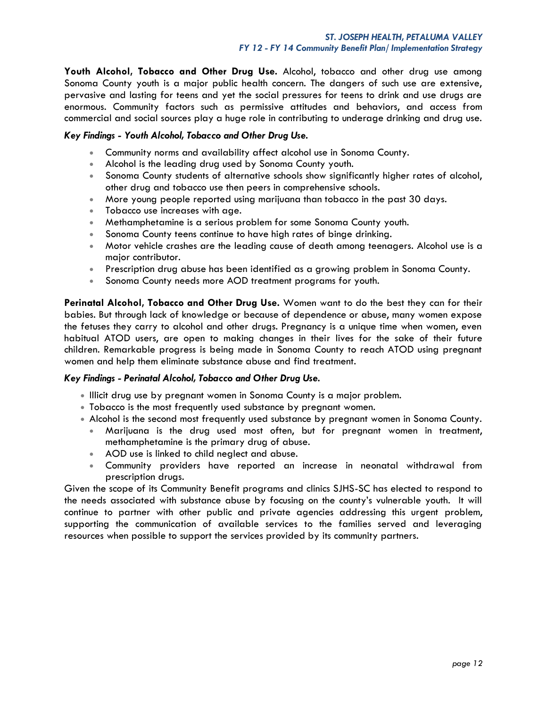**Youth Alcohol, Tobacco and Other Drug Use.** Alcohol, tobacco and other drug use among Sonoma County youth is a major public health concern. The dangers of such use are extensive, pervasive and lasting for teens and yet the social pressures for teens to drink and use drugs are enormous. Community factors such as permissive attitudes and behaviors, and access from commercial and social sources play a huge role in contributing to underage drinking and drug use.

## *Key Findings - Youth Alcohol, Tobacco and Other Drug Use.*

- Community norms and availability affect alcohol use in Sonoma County.
- Alcohol is the leading drug used by Sonoma County youth.
- Sonoma County students of alternative schools show significantly higher rates of alcohol, other drug and tobacco use then peers in comprehensive schools.
- More young people reported using marijuana than tobacco in the past 30 days.
- Tobacco use increases with age.
- Methamphetamine is a serious problem for some Sonoma County youth.
- Sonoma County teens continue to have high rates of binge drinking.
- Motor vehicle crashes are the leading cause of death among teenagers. Alcohol use is a major contributor.
- Prescription drug abuse has been identified as a growing problem in Sonoma County.
- Sonoma County needs more AOD treatment programs for youth.

**Perinatal Alcohol, Tobacco and Other Drug Use.** Women want to do the best they can for their babies. But through lack of knowledge or because of dependence or abuse, many women expose the fetuses they carry to alcohol and other drugs. Pregnancy is a unique time when women, even habitual ATOD users, are open to making changes in their lives for the sake of their future children. Remarkable progress is being made in Sonoma County to reach ATOD using pregnant women and help them eliminate substance abuse and find treatment.

## *Key Findings - Perinatal Alcohol, Tobacco and Other Drug Use.*

- Illicit drug use by pregnant women in Sonoma County is a major problem.
- Tobacco is the most frequently used substance by pregnant women.
- Alcohol is the second most frequently used substance by pregnant women in Sonoma County.
	- Marijuana is the drug used most often, but for pregnant women in treatment, methamphetamine is the primary drug of abuse.
	- AOD use is linked to child neglect and abuse.
	- Community providers have reported an increase in neonatal withdrawal from prescription drugs.

Given the scope of its Community Benefit programs and clinics SJHS-SC has elected to respond to the needs associated with substance abuse by focusing on the county's vulnerable youth. It will continue to partner with other public and private agencies addressing this urgent problem, supporting the communication of available services to the families served and leveraging resources when possible to support the services provided by its community partners.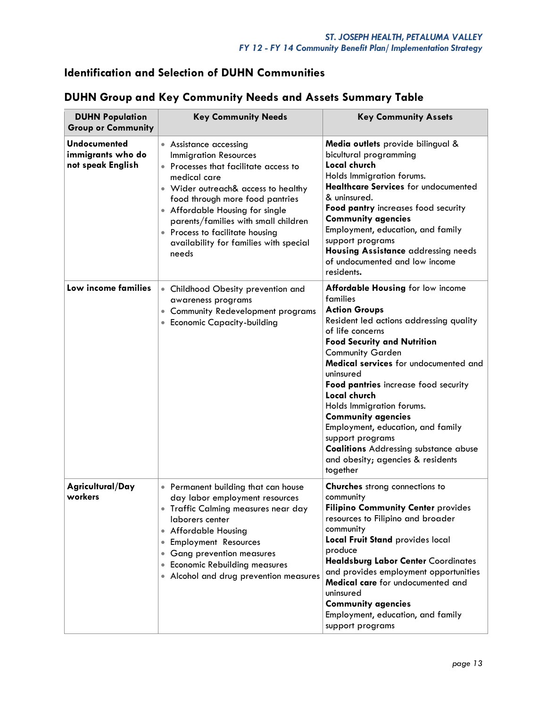# **Identification and Selection of DUHN Communities**

| <b>DUHN Population</b><br><b>Group or Community</b>           | <b>Key Community Needs</b>                                                                                                                                                                                                                                                                                                                                                   | <b>Key Community Assets</b>                                                                                                                                                                                                                                                                                                                                                                                                                                                                                                                    |  |
|---------------------------------------------------------------|------------------------------------------------------------------------------------------------------------------------------------------------------------------------------------------------------------------------------------------------------------------------------------------------------------------------------------------------------------------------------|------------------------------------------------------------------------------------------------------------------------------------------------------------------------------------------------------------------------------------------------------------------------------------------------------------------------------------------------------------------------------------------------------------------------------------------------------------------------------------------------------------------------------------------------|--|
| <b>Undocumented</b><br>immigrants who do<br>not speak English | • Assistance accessing<br><b>Immigration Resources</b><br>Processes that facilitate access to<br>medical care<br>Wider outreach& access to healthy<br>food through more food pantries<br>Affordable Housing for single<br>$\bullet$<br>parents/families with small children<br>Process to facilitate housing<br>$\bullet$<br>availability for families with special<br>needs | Media outlets provide bilingual &<br>bicultural programming<br><b>Local church</b><br>Holds Immigration forums.<br><b>Healthcare Services</b> for undocumented<br>& uninsured.<br>Food pantry increases food security<br><b>Community agencies</b><br>Employment, education, and family<br>support programs<br><b>Housing Assistance addressing needs</b><br>of undocumented and low income<br>residents.                                                                                                                                      |  |
| Low income families                                           | • Childhood Obesity prevention and<br>awareness programs<br><b>Community Redevelopment programs</b><br>• Economic Capacity-building                                                                                                                                                                                                                                          | <b>Affordable Housing for low income</b><br>families<br><b>Action Groups</b><br>Resident led actions addressing quality<br>of life concerns<br><b>Food Security and Nutrition</b><br><b>Community Garden</b><br>Medical services for undocumented and<br>uninsured<br>Food pantries increase food security<br>Local church<br>Holds Immigration forums.<br><b>Community agencies</b><br>Employment, education, and family<br>support programs<br><b>Coalitions Addressing substance abuse</b><br>and obesity; agencies & residents<br>together |  |
| Agricultural/Day<br>workers                                   | • Permanent building that can house<br>day labor employment resources<br>Traffic Calming measures near day<br>laborers center<br>• Affordable Housing<br><b>Employment Resources</b><br><b>Gang prevention measures</b><br>$\bullet$<br><b>Economic Rebuilding measures</b><br>$\bullet$<br>Alcohol and drug prevention measures                                             | Churches strong connections to<br>community<br><b>Filipino Community Center provides</b><br>resources to Filipino and broader<br>community<br><b>Local Fruit Stand provides local</b><br>produce<br><b>Healdsburg Labor Center Coordinates</b><br>and provides employment opportunities<br>Medical care for undocumented and<br>uninsured<br><b>Community agencies</b><br>Employment, education, and family<br>support programs                                                                                                                |  |

# **DUHN Group and Key Community Needs and Assets Summary Table**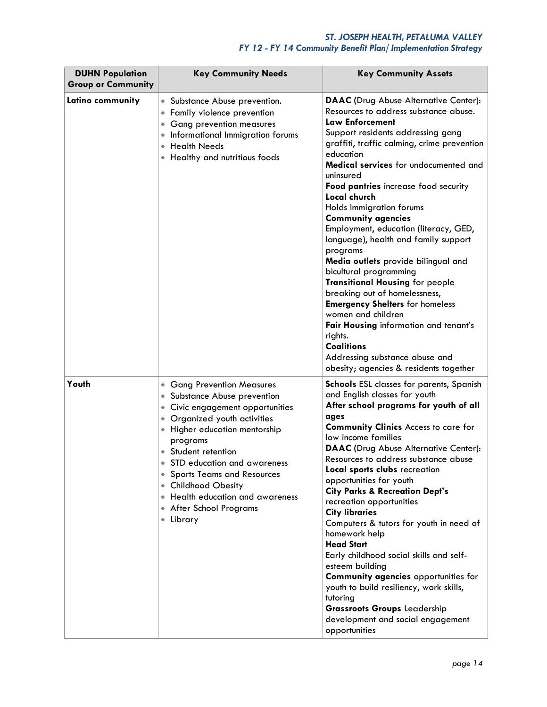# *ST. JOSEPH HEALTH, PETALUMA VALLEY FY 12 - FY 14 Community Benefit Plan/ Implementation Strategy*

| <b>DUHN Population</b><br><b>Group or Community</b> | <b>Key Community Needs</b>                                                                                                                                                                                                                                                                                                                                                                                       | <b>Key Community Assets</b>                                                                                                                                                                                                                                                                                                                                                                                                                                                                                                                                                                                                                                                                                                                                                                                                                           |
|-----------------------------------------------------|------------------------------------------------------------------------------------------------------------------------------------------------------------------------------------------------------------------------------------------------------------------------------------------------------------------------------------------------------------------------------------------------------------------|-------------------------------------------------------------------------------------------------------------------------------------------------------------------------------------------------------------------------------------------------------------------------------------------------------------------------------------------------------------------------------------------------------------------------------------------------------------------------------------------------------------------------------------------------------------------------------------------------------------------------------------------------------------------------------------------------------------------------------------------------------------------------------------------------------------------------------------------------------|
| Latino community                                    | Substance Abuse prevention.<br>$\bullet$<br>Family violence prevention<br><b>Gang prevention measures</b><br>Informational Immigration forums<br><b>Health Needs</b><br>Healthy and nutritious foods                                                                                                                                                                                                             | <b>DAAC</b> (Drug Abuse Alternative Center):<br>Resources to address substance abuse.<br><b>Law Enforcement</b><br>Support residents addressing gang<br>graffiti, traffic calming, crime prevention<br>education<br>Medical services for undocumented and<br>uninsured<br>Food pantries increase food security<br>Local church<br>Holds Immigration forums<br><b>Community agencies</b><br>Employment, education (literacy, GED,<br>language), health and family support<br>programs<br>Media outlets provide bilingual and<br>bicultural programming<br><b>Transitional Housing for people</b><br>breaking out of homelessness,<br><b>Emergency Shelters</b> for homeless<br>women and children<br>Fair Housing information and tenant's<br>rights.<br><b>Coalitions</b><br>Addressing substance abuse and<br>obesity; agencies & residents together |
| Youth                                               | <b>Gang Prevention Measures</b><br>$\bullet$<br>Substance Abuse prevention<br>$\bullet$<br>Civic engagement opportunities<br>Organized youth activities<br>Higher education mentorship<br>programs<br>Student retention<br>STD education and awareness<br><b>Sports Teams and Resources</b><br><b>Childhood Obesity</b><br>$\bullet$<br>• Health education and awareness<br>• After School Programs<br>• Library | <b>Schools</b> ESL classes for parents, Spanish<br>and English classes for youth<br>After school programs for youth of all<br>ages<br><b>Community Clinics Access to care for</b><br>low income families<br><b>DAAC</b> (Drug Abuse Alternative Center):<br>Resources to address substance abuse<br>Local sports clubs recreation<br>opportunities for youth<br><b>City Parks &amp; Recreation Dept's</b><br>recreation opportunities<br><b>City libraries</b><br>Computers & tutors for youth in need of<br>homework help<br><b>Head Start</b><br>Early childhood social skills and self-<br>esteem building<br>Community agencies opportunities for<br>youth to build resiliency, work skills,<br>tutoring<br><b>Grassroots Groups Leadership</b><br>development and social engagement<br>opportunities                                             |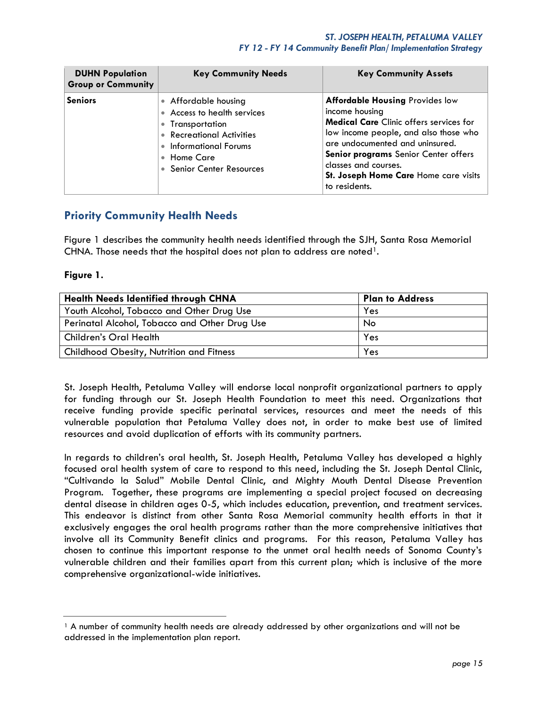## *ST. JOSEPH HEALTH, PETALUMA VALLEY FY 12 - FY 14 Community Benefit Plan/ Implementation Strategy*

| <b>DUHN Population</b><br><b>Group or Community</b> | <b>Key Community Needs</b>                                                                                                                                                 | <b>Key Community Assets</b>                                                                                                                                                                                                                                                                                      |
|-----------------------------------------------------|----------------------------------------------------------------------------------------------------------------------------------------------------------------------------|------------------------------------------------------------------------------------------------------------------------------------------------------------------------------------------------------------------------------------------------------------------------------------------------------------------|
| <b>Seniors</b>                                      | • Affordable housing<br>• Access to health services<br>• Transportation<br>• Recreational Activities<br>• Informational Forums<br>• Home Care<br>• Senior Center Resources | <b>Affordable Housing Provides low</b><br>income housing<br><b>Medical Care</b> Clinic offers services for<br>low income people, and also those who<br>are undocumented and uninsured.<br>Senior programs Senior Center offers<br>classes and courses.<br>St. Joseph Home Care Home care visits<br>to residents. |

# **Priority Community Health Needs**

Figure 1 describes the community health needs identified through the SJH, Santa Rosa Memorial CHNA. Those needs that the hospital does not plan to address are noted<sup>1</sup>.

## **Figure 1.**

| <b>Health Needs Identified through CHNA</b>   | <b>Plan to Address</b> |
|-----------------------------------------------|------------------------|
| Youth Alcohol, Tobacco and Other Drug Use     | Yes                    |
| Perinatal Alcohol, Tobacco and Other Drug Use | No                     |
| Children's Oral Health                        | Yes                    |
| Childhood Obesity, Nutrition and Fitness      | Yes                    |

St. Joseph Health, Petaluma Valley will endorse local nonprofit organizational partners to apply for funding through our St. Joseph Health Foundation to meet this need. Organizations that receive funding provide specific perinatal services, resources and meet the needs of this vulnerable population that Petaluma Valley does not, in order to make best use of limited resources and avoid duplication of efforts with its community partners.

In regards to children's oral health, St. Joseph Health, Petaluma Valley has developed a highly focused oral health system of care to respond to this need, including the St. Joseph Dental Clinic, "Cultivando la Salud" Mobile Dental Clinic, and Mighty Mouth Dental Disease Prevention Program. Together, these programs are implementing a special project focused on decreasing dental disease in children ages 0-5, which includes education, prevention, and treatment services. This endeavor is distinct from other Santa Rosa Memorial community health efforts in that it exclusively engages the oral health programs rather than the more comprehensive initiatives that involve all its Community Benefit clinics and programs. For this reason, Petaluma Valley has chosen to continue this important response to the unmet oral health needs of Sonoma County's vulnerable children and their families apart from this current plan; which is inclusive of the more comprehensive organizational-wide initiatives.

<sup>&</sup>lt;sup>1</sup> A number of community health needs are already addressed by other organizations and will not be addressed in the implementation plan report.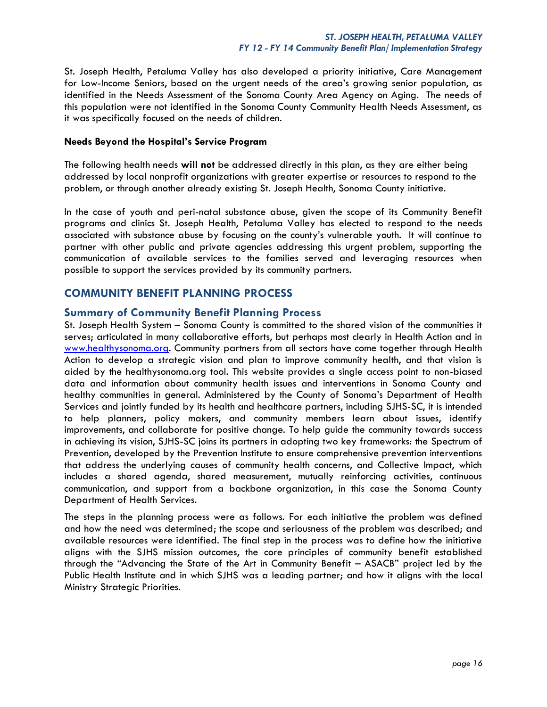St. Joseph Health, Petaluma Valley has also developed a priority initiative, Care Management for Low-Income Seniors, based on the urgent needs of the area's growing senior population, as identified in the Needs Assessment of the Sonoma County Area Agency on Aging. The needs of this population were not identified in the Sonoma County Community Health Needs Assessment, as it was specifically focused on the needs of children.

#### **Needs Beyond the Hospital's Service Program**

The following health needs **will not** be addressed directly in this plan, as they are either being addressed by local nonprofit organizations with greater expertise or resources to respond to the problem, or through another already existing St. Joseph Health, Sonoma County initiative.

In the case of youth and peri-natal substance abuse, given the scope of its Community Benefit programs and clinics St. Joseph Health, Petaluma Valley has elected to respond to the needs associated with substance abuse by focusing on the county's vulnerable youth. It will continue to partner with other public and private agencies addressing this urgent problem, supporting the communication of available services to the families served and leveraging resources when possible to support the services provided by its community partners.

# **COMMUNITY BENEFIT PLANNING PROCESS**

## **Summary of Community Benefit Planning Process**

St. Joseph Health System – Sonoma County is committed to the shared vision of the communities it serves; articulated in many collaborative efforts, but perhaps most clearly in Health Action and in [www.healthysonoma.org.](http://www.healthysonoma.org/) Community partners from all sectors have come together through Health Action to develop a strategic vision and plan to improve community health, and that vision is aided by the healthysonoma.org tool. This website provides a single access point to non-biased data and information about community health issues and interventions in Sonoma County and healthy communities in general. Administered by the County of Sonoma's Department of Health Services and jointly funded by its health and healthcare partners, including SJHS-SC, it is intended to help planners, policy makers, and community members learn about issues, identify improvements, and collaborate for positive change. To help guide the community towards success in achieving its vision, SJHS-SC joins its partners in adopting two key frameworks: the Spectrum of Prevention, developed by the Prevention Institute to ensure comprehensive prevention interventions that address the underlying causes of community health concerns, and Collective Impact, which includes a shared agenda, shared measurement, mutually reinforcing activities, continuous communication, and support from a backbone organization, in this case the Sonoma County Department of Health Services.

The steps in the planning process were as follows. For each initiative the problem was defined and how the need was determined; the scope and seriousness of the problem was described; and available resources were identified. The final step in the process was to define how the initiative aligns with the SJHS mission outcomes, the core principles of community benefit established through the "Advancing the State of the Art in Community Benefit – ASACB" project led by the Public Health Institute and in which SJHS was a leading partner; and how it aligns with the local Ministry Strategic Priorities.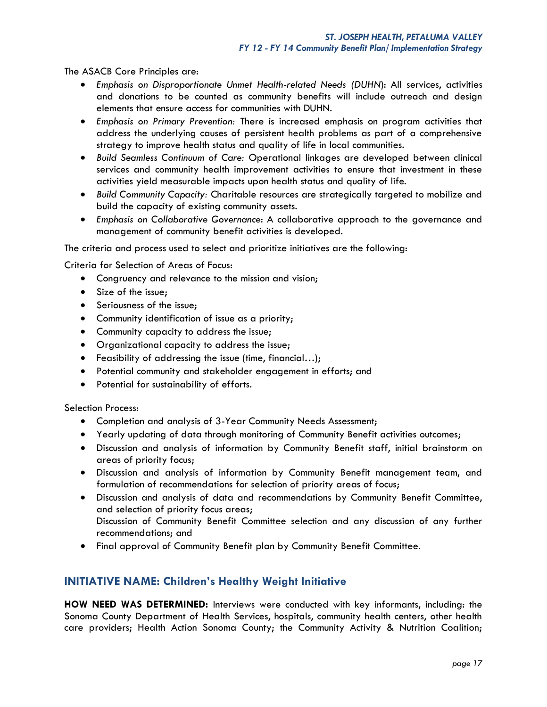The ASACB Core Principles are:

- *Emphasis on Disproportionate Unmet Health-related Needs (DUHN*): All services, activities and donations to be counted as community benefits will include outreach and design elements that ensure access for communities with DUHN.
- *Emphasis on Primary Prevention:* There is increased emphasis on program activities that address the underlying causes of persistent health problems as part of a comprehensive strategy to improve health status and quality of life in local communities.
- *Build Seamless Continuum of Care:* Operational linkages are developed between clinical services and community health improvement activities to ensure that investment in these activities yield measurable impacts upon health status and quality of life.
- *Build Community Capacity:* Charitable resources are strategically targeted to mobilize and build the capacity of existing community assets.
- *Emphasis on Collaborative Governance*: A collaborative approach to the governance and management of community benefit activities is developed.

The criteria and process used to select and prioritize initiatives are the following:

Criteria for Selection of Areas of Focus:

- Congruency and relevance to the mission and vision;
- Size of the issue:
- **Seriousness of the issue;**
- Community identification of issue as a priority;
- Community capacity to address the issue;
- Organizational capacity to address the issue;
- Feasibility of addressing the issue (time, financial…);
- Potential community and stakeholder engagement in efforts; and
- Potential for sustainability of efforts.

Selection Process:

- Completion and analysis of 3-Year Community Needs Assessment;
- Yearly updating of data through monitoring of Community Benefit activities outcomes;
- Discussion and analysis of information by Community Benefit staff, initial brainstorm on areas of priority focus;
- Discussion and analysis of information by Community Benefit management team, and formulation of recommendations for selection of priority areas of focus;
- Discussion and analysis of data and recommendations by Community Benefit Committee, and selection of priority focus areas; Discussion of Community Benefit Committee selection and any discussion of any further recommendations; and
- Final approval of Community Benefit plan by Community Benefit Committee.

# **INITIATIVE NAME: Children's Healthy Weight Initiative**

**HOW NEED WAS DETERMINED:** Interviews were conducted with key informants, including: the Sonoma County Department of Health Services, hospitals, community health centers, other health care providers; Health Action Sonoma County; the Community Activity & Nutrition Coalition;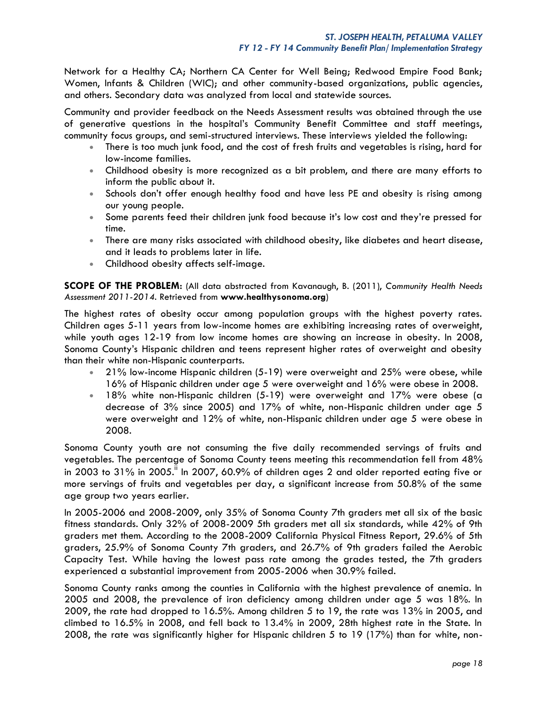Network for a Healthy CA; Northern CA Center for Well Being; Redwood Empire Food Bank; Women, Infants & Children (WIC); and other community-based organizations, public agencies, and others. Secondary data was analyzed from local and statewide sources.

Community and provider feedback on the Needs Assessment results was obtained through the use of generative questions in the hospital's Community Benefit Committee and staff meetings, community focus groups, and semi-structured interviews. These interviews yielded the following:

- There is too much junk food, and the cost of fresh fruits and vegetables is rising, hard for low-income families.
- Childhood obesity is more recognized as a bit problem, and there are many efforts to inform the public about it.
- Schools don't offer enough healthy food and have less PE and obesity is rising among our young people.
- Some parents feed their children junk food because it's low cost and they're pressed for time.
- There are many risks associated with childhood obesity, like diabetes and heart disease, and it leads to problems later in life.
- Childhood obesity affects self-image.

**SCOPE OF THE PROBLEM:** (All data abstracted from Kavanaugh, B. (2011), *Community Health Needs Assessment 2011-2014*. Retrieved from **[www.healthysonoma.org](http://www.healthysonoma.org/)**)

The highest rates of obesity occur among population groups with the highest poverty rates. Children ages 5-11 years from low-income homes are exhibiting increasing rates of overweight, while youth ages 12-19 from low income homes are showing an increase in obesity. In 2008, Sonoma County's Hispanic children and teens represent higher rates of overweight and obesity than their white non-Hispanic counterparts.

- 21% low-income Hispanic children (5-19) were overweight and 25% were obese, while 16% of Hispanic children under age 5 were overweight and 16% were obese in 2008.
- 18% white non-Hispanic children (5-19) were overweight and 17% were obese (a decrease of 3% since 2005) and 17% of white, non-Hispanic children under age 5 were overweight and 12% of white, non-Hispanic children under age 5 were obese in 2008.

Sonoma County youth are not consuming the five daily recommended servings of fruits and vegetables. The percentage of Sonoma County teens meeting this recommendation fell from 48% in 2003 to 31% in 2005.<sup>ii</sup> In 2007, 60.9% of children ages 2 and older reported eating five or more servings of fruits and vegetables per day, a significant increase from 50.8% of the same age group two years earlier.

In 2005-2006 and 2008-2009, only 35% of Sonoma County 7th graders met all six of the basic fitness standards. Only 32% of 2008-2009 5th graders met all six standards, while 42% of 9th graders met them. According to the 2008-2009 California Physical Fitness Report, 29.6% of 5th graders, 25.9% of Sonoma County 7th graders, and 26.7% of 9th graders failed the Aerobic Capacity Test. While having the lowest pass rate among the grades tested, the 7th graders experienced a substantial improvement from 2005-2006 when 30.9% failed.

Sonoma County ranks among the counties in California with the highest prevalence of anemia. In 2005 and 2008, the prevalence of iron deficiency among children under age 5 was 18%. In 2009, the rate had dropped to 16.5%. Among children 5 to 19, the rate was 13% in 2005, and climbed to 16.5% in 2008, and fell back to 13.4% in 2009, 28th highest rate in the State. In 2008, the rate was significantly higher for Hispanic children 5 to 19 (17%) than for white, non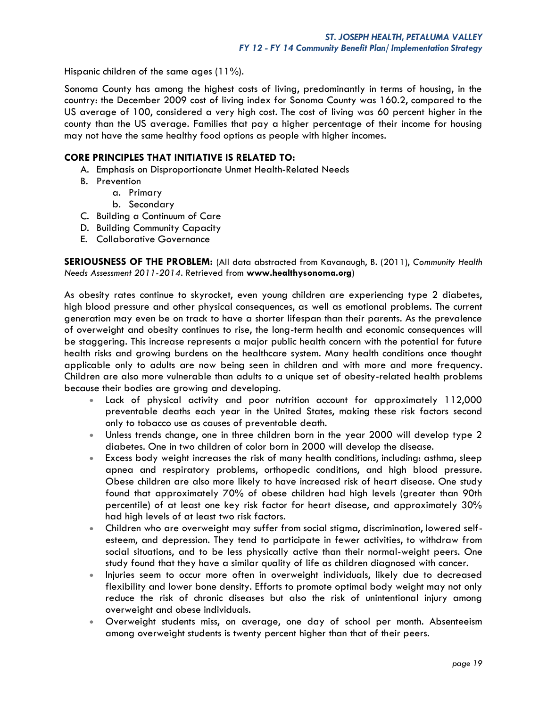Hispanic children of the same ages (11%).

Sonoma County has among the highest costs of living, predominantly in terms of housing, in the country: the December 2009 cost of living index for Sonoma County was 160.2, compared to the US average of 100, considered a very high cost. The cost of living was 60 percent higher in the county than the US average. Families that pay a higher percentage of their income for housing may not have the same healthy food options as people with higher incomes.

## **CORE PRINCIPLES THAT INITIATIVE IS RELATED TO:**

- A. Emphasis on Disproportionate Unmet Health-Related Needs
- B. Prevention
	- a. Primary
	- b. Secondary
- C. Building a Continuum of Care
- D. Building Community Capacity
- E. Collaborative Governance

**SERIOUSNESS OF THE PROBLEM:** (All data abstracted from Kavanaugh, B. (2011), *Community Health Needs Assessment 2011-2014*. Retrieved from **[www.healthysonoma.org](http://www.healthysonoma.org/)**)

As obesity rates continue to skyrocket, even young children are experiencing type 2 diabetes, high blood pressure and other physical consequences, as well as emotional problems. The current generation may even be on track to have a shorter lifespan than their parents. As the prevalence of overweight and obesity continues to rise, the long-term health and economic consequences will be staggering. This increase represents a major public health concern with the potential for future health risks and growing burdens on the healthcare system. Many health conditions once thought applicable only to adults are now being seen in children and with more and more frequency. Children are also more vulnerable than adults to a unique set of obesity-related health problems because their bodies are growing and developing.

- Lack of physical activity and poor nutrition account for approximately 112,000 preventable deaths each year in the United States, making these risk factors second only to tobacco use as causes of preventable death.
- Unless trends change, one in three children born in the year 2000 will develop type 2 diabetes. One in two children of color born in 2000 will develop the disease.
- Excess body weight increases the risk of many health conditions, including: asthma, sleep apnea and respiratory problems, orthopedic conditions, and high blood pressure. Obese children are also more likely to have increased risk of heart disease. One study found that approximately 70% of obese children had high levels (greater than 90th percentile) of at least one key risk factor for heart disease, and approximately 30% had high levels of at least two risk factors.
- Children who are overweight may suffer from social stigma, discrimination, lowered selfesteem, and depression. They tend to participate in fewer activities, to withdraw from social situations, and to be less physically active than their normal-weight peers. One study found that they have a similar quality of life as children diagnosed with cancer.
- Injuries seem to occur more often in overweight individuals, likely due to decreased flexibility and lower bone density. Efforts to promote optimal body weight may not only reduce the risk of chronic diseases but also the risk of unintentional injury among overweight and obese individuals.
- Overweight students miss, on average, one day of school per month. Absenteeism among overweight students is twenty percent higher than that of their peers.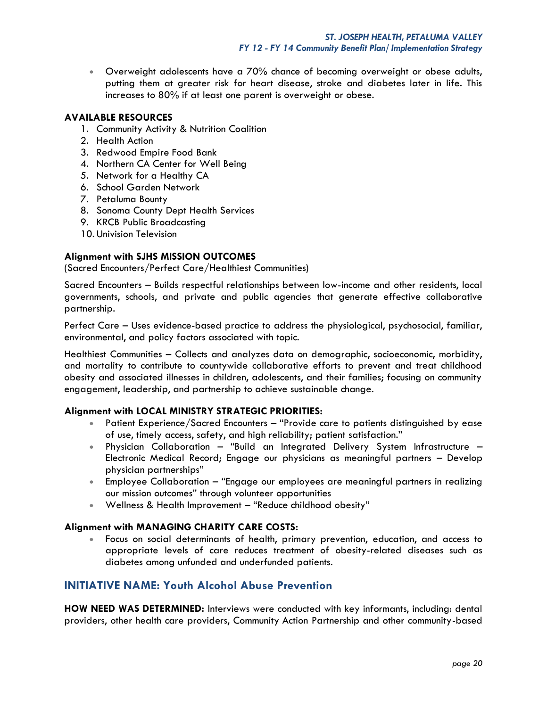Overweight adolescents have a 70% chance of becoming overweight or obese adults, putting them at greater risk for heart disease, stroke and diabetes later in life. This increases to 80% if at least one parent is overweight or obese.

## **AVAILABLE RESOURCES**

- 1. Community Activity & Nutrition Coalition
- 2. Health Action
- 3. Redwood Empire Food Bank
- 4. Northern CA Center for Well Being
- 5. Network for a Healthy CA
- 6. School Garden Network
- 7. Petaluma Bounty
- 8. Sonoma County Dept Health Services
- 9. KRCB Public Broadcasting
- 10. Univision Television

## **Alignment with SJHS MISSION OUTCOMES**

(Sacred Encounters/Perfect Care/Healthiest Communities)

Sacred Encounters – Builds respectful relationships between low-income and other residents, local governments, schools, and private and public agencies that generate effective collaborative partnership.

Perfect Care – Uses evidence-based practice to address the physiological, psychosocial, familiar, environmental, and policy factors associated with topic.

Healthiest Communities – Collects and analyzes data on demographic, socioeconomic, morbidity, and mortality to contribute to countywide collaborative efforts to prevent and treat childhood obesity and associated illnesses in children, adolescents, and their families; focusing on community engagement, leadership, and partnership to achieve sustainable change.

#### **Alignment with LOCAL MINISTRY STRATEGIC PRIORITIES:**

- Patient Experience/Sacred Encounters "Provide care to patients distinguished by ease of use, timely access, safety, and high reliability; patient satisfaction."
- Physician Collaboration "Build an Integrated Delivery System Infrastructure Electronic Medical Record; Engage our physicians as meaningful partners – Develop physician partnerships"
- Employee Collaboration "Engage our employees are meaningful partners in realizing our mission outcomes" through volunteer opportunities
- Wellness & Health Improvement "Reduce childhood obesity"

# **Alignment with MANAGING CHARITY CARE COSTS:**

 Focus on social determinants of health, primary prevention, education, and access to appropriate levels of care reduces treatment of obesity-related diseases such as diabetes among unfunded and underfunded patients.

# **INITIATIVE NAME: Youth Alcohol Abuse Prevention**

**HOW NEED WAS DETERMINED:** Interviews were conducted with key informants, including: dental providers, other health care providers, Community Action Partnership and other community-based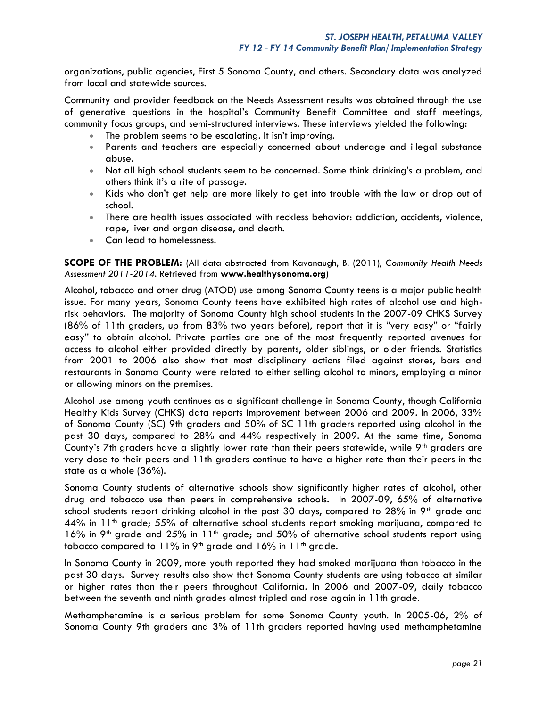organizations, public agencies, First 5 Sonoma County, and others. Secondary data was analyzed from local and statewide sources.

Community and provider feedback on the Needs Assessment results was obtained through the use of generative questions in the hospital's Community Benefit Committee and staff meetings, community focus groups, and semi-structured interviews. These interviews yielded the following:

- The problem seems to be escalating. It isn't improving.
- Parents and teachers are especially concerned about underage and illegal substance abuse.
- Not all high school students seem to be concerned. Some think drinking's a problem, and others think it's a rite of passage.
- Kids who don't get help are more likely to get into trouble with the law or drop out of school.
- There are health issues associated with reckless behavior: addiction, accidents, violence, rape, liver and organ disease, and death.
- Can lead to homelessness.

**SCOPE OF THE PROBLEM:** (All data abstracted from Kavanaugh, B. (2011), *Community Health Needs Assessment 2011-2014*. Retrieved from **[www.healthysonoma.org](http://www.healthysonoma.org/)**)

Alcohol, tobacco and other drug (ATOD) use among Sonoma County teens is a major public health issue. For many years, Sonoma County teens have exhibited high rates of alcohol use and highrisk behaviors. The majority of Sonoma County high school students in the 2007-09 CHKS Survey (86% of 11th graders, up from 83% two years before), report that it is "very easy" or "fairly easy" to obtain alcohol. Private parties are one of the most frequently reported avenues for access to alcohol either provided directly by parents, older siblings, or older friends. Statistics from 2001 to 2006 also show that most disciplinary actions filed against stores, bars and restaurants in Sonoma County were related to either selling alcohol to minors, employing a minor or allowing minors on the premises.

Alcohol use among youth continues as a significant challenge in Sonoma County, though California Healthy Kids Survey (CHKS) data reports improvement between 2006 and 2009. In 2006, 33% of Sonoma County (SC) 9th graders and 50% of SC 11th graders reported using alcohol in the past 30 days, compared to 28% and 44% respectively in 2009. At the same time, Sonoma County's 7th graders have a slightly lower rate than their peers statewide, while 9<sup>th</sup> graders are very close to their peers and 11th graders continue to have a higher rate than their peers in the state as a whole (36%).

Sonoma County students of alternative schools show significantly higher rates of alcohol, other drug and tobacco use then peers in comprehensive schools. In 2007-09, 65% of alternative school students report drinking alcohol in the past 30 days, compared to 28% in 9<sup>th</sup> grade and  $44\%$  in 11<sup>th</sup> grade; 55% of alternative school students report smoking marijuana, compared to 16% in 9<sup>th</sup> grade and 25% in 11<sup>th</sup> grade; and 50% of alternative school students report using tobacco compared to  $11\%$  in 9<sup>th</sup> grade and  $16\%$  in  $11<sup>th</sup>$  grade.

In Sonoma County in 2009, more youth reported they had smoked marijuana than tobacco in the past 30 days. Survey results also show that Sonoma County students are using tobacco at similar or higher rates than their peers throughout California. In 2006 and 2007-09, daily tobacco between the seventh and ninth grades almost tripled and rose again in 11th grade.

Methamphetamine is a serious problem for some Sonoma County youth. In 2005-06**,** 2% of Sonoma County 9th graders and 3% of 11th graders reported having used methamphetamine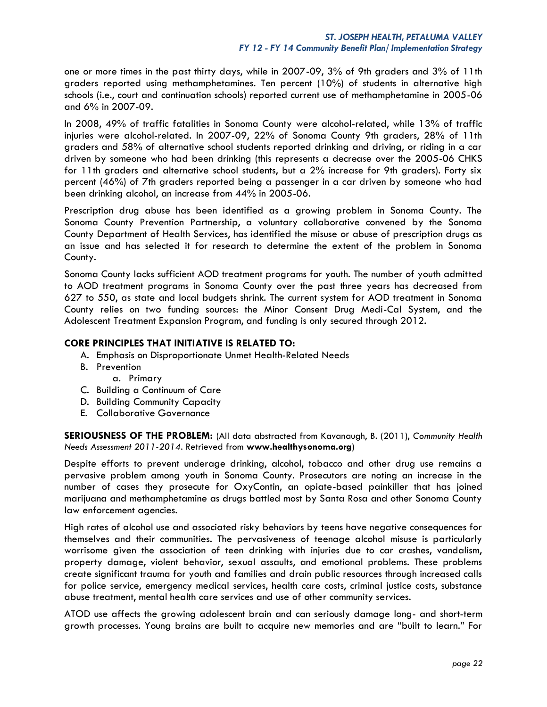one or more times in the past thirty days, while in 2007-09, 3% of 9th graders and 3% of 11th graders reported using methamphetamines. Ten percent (10%) of students in alternative high schools (i.e., court and continuation schools) reported current use of methamphetamine in 2005-06 and 6% in 2007-09.

In 2008, 49% of traffic fatalities in Sonoma County were alcohol-related, while 13% of traffic injuries were alcohol-related. In 2007-09, 22% of Sonoma County 9th graders, 28% of 11th graders and 58% of alternative school students reported drinking and driving, or riding in a car driven by someone who had been drinking (this represents a decrease over the 2005-06 CHKS for 11th graders and alternative school students, but a 2% increase for 9th graders). Forty six percent (46%) of 7th graders reported being a passenger in a car driven by someone who had been drinking alcohol, an increase from 44% in 2005-06.

Prescription drug abuse has been identified as a growing problem in Sonoma County. The Sonoma County Prevention Partnership, a voluntary collaborative convened by the Sonoma County Department of Health Services, has identified the misuse or abuse of prescription drugs as an issue and has selected it for research to determine the extent of the problem in Sonoma County.

Sonoma County lacks sufficient AOD treatment programs for youth. The number of youth admitted to AOD treatment programs in Sonoma County over the past three years has decreased from 627 to 550, as state and local budgets shrink. The current system for AOD treatment in Sonoma County relies on two funding sources: the Minor Consent Drug Medi-Cal System, and the Adolescent Treatment Expansion Program, and funding is only secured through 2012.

## **CORE PRINCIPLES THAT INITIATIVE IS RELATED TO:**

- A. Emphasis on Disproportionate Unmet Health-Related Needs
- B. Prevention
	- a. Primary
- C. Building a Continuum of Care
- D. Building Community Capacity
- E. Collaborative Governance

**SERIOUSNESS OF THE PROBLEM:** (All data abstracted from Kavanaugh, B. (2011), *Community Health Needs Assessment 2011-2014*. Retrieved from **[www.healthysonoma.org](http://www.healthysonoma.org/)**)

Despite efforts to prevent underage drinking, alcohol, tobacco and other drug use remains a pervasive problem among youth in Sonoma County. Prosecutors are noting an increase in the number of cases they prosecute for OxyContin, an opiate-based painkiller that has joined marijuana and methamphetamine as drugs battled most by Santa Rosa and other Sonoma County law enforcement agencies.

High rates of alcohol use and associated risky behaviors by teens have negative consequences for themselves and their communities. The pervasiveness of teenage alcohol misuse is particularly worrisome given the association of teen drinking with injuries due to car crashes, vandalism, property damage, violent behavior, sexual assaults, and emotional problems. These problems create significant trauma for youth and families and drain public resources through increased calls for police service, emergency medical services, health care costs, criminal justice costs, substance abuse treatment, mental health care services and use of other community services.

ATOD use affects the growing adolescent brain and can seriously damage long- and short-term growth processes. Young brains are built to acquire new memories and are "built to learn." For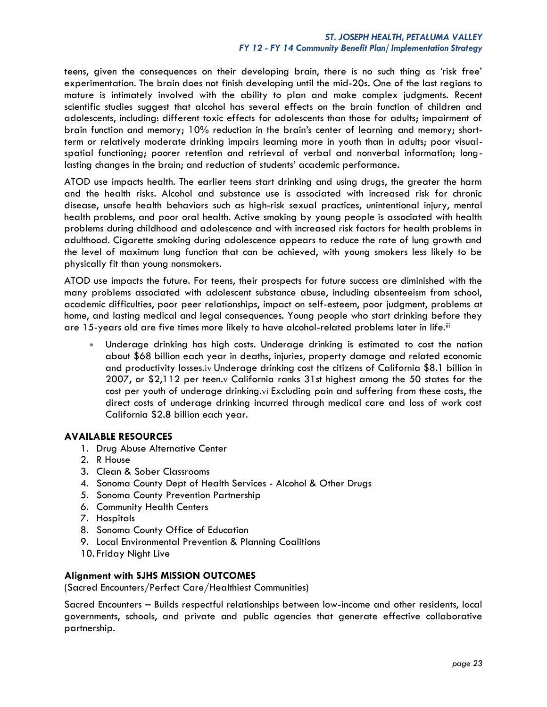## *ST. JOSEPH HEALTH, PETALUMA VALLEY FY 12 - FY 14 Community Benefit Plan/ Implementation Strategy*

teens, given the consequences on their developing brain, there is no such thing as 'risk free' experimentation. The brain does not finish developing until the mid-20s. One of the last regions to mature is intimately involved with the ability to plan and make complex judgments. Recent scientific studies suggest that alcohol has several effects on the brain function of children and adolescents, including: different toxic effects for adolescents than those for adults; impairment of brain function and memory; 10% reduction in the brain's center of learning and memory; shortterm or relatively moderate drinking impairs learning more in youth than in adults; poor visualspatial functioning; poorer retention and retrieval of verbal and nonverbal information; longlasting changes in the brain; and reduction of students' academic performance.

ATOD use impacts health. The earlier teens start drinking and using drugs, the greater the harm and the health risks. Alcohol and substance use is associated with increased risk for chronic disease, unsafe health behaviors such as high-risk sexual practices, unintentional injury, mental health problems, and poor oral health. Active smoking by young people is associated with health problems during childhood and adolescence and with increased risk factors for health problems in adulthood. Cigarette smoking during adolescence appears to reduce the rate of lung growth and the level of maximum lung function that can be achieved, with young smokers less likely to be physically fit than young nonsmokers.

ATOD use impacts the future. For teens, their prospects for future success are diminished with the many problems associated with adolescent substance abuse, including absenteeism from school, academic difficulties, poor peer relationships, impact on self-esteem, poor judgment, problems at home, and lasting medical and legal consequences. Young people who start drinking before they are 15-years old are five times more likely to have alcohol-related problems later in life.iii

 Underage drinking has high costs. Underage drinking is estimated to cost the nation about \$68 billion each year in deaths, injuries, property damage and related economic and productivity losses.iv Underage drinking cost the citizens of California \$8.1 billion in 2007, or \$2,112 per teen.v California ranks 31st highest among the 50 states for the cost per youth of underage drinking.vi Excluding pain and suffering from these costs, the direct costs of underage drinking incurred through medical care and loss of work cost California \$2.8 billion each year.

## **AVAILABLE RESOURCES**

- 1. Drug Abuse Alternative Center
- 2. R House
- 3. Clean & Sober Classrooms
- 4. Sonoma County Dept of Health Services Alcohol & Other Drugs
- 5. Sonoma County Prevention Partnership
- 6. Community Health Centers
- 7. Hospitals
- 8. Sonoma County Office of Education
- 9. Local Environmental Prevention & Planning Coalitions
- 10. Friday Night Live

## **Alignment with SJHS MISSION OUTCOMES**

(Sacred Encounters/Perfect Care/Healthiest Communities)

Sacred Encounters – Builds respectful relationships between low-income and other residents, local governments, schools, and private and public agencies that generate effective collaborative partnership.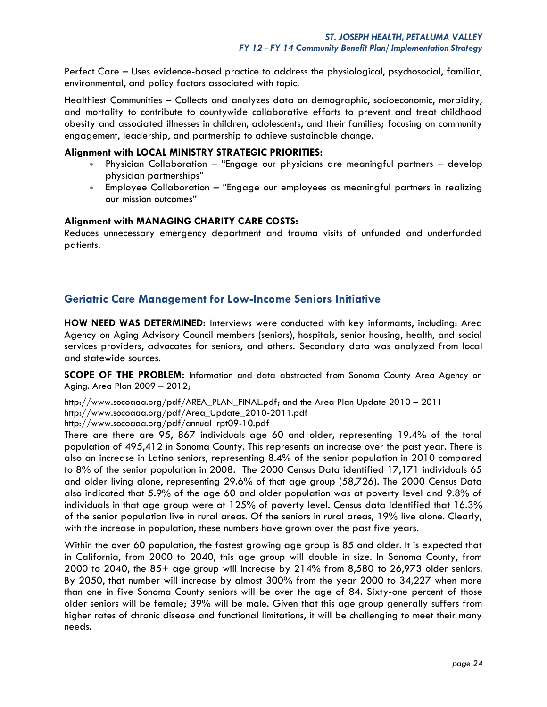Perfect Care – Uses evidence-based practice to address the physiological, psychosocial, familiar, environmental, and policy factors associated with topic.

Healthiest Communities – Collects and analyzes data on demographic, socioeconomic, morbidity, and mortality to contribute to countywide collaborative efforts to prevent and treat childhood obesity and associated illnesses in children, adolescents, and their families; focusing on community engagement, leadership, and partnership to achieve sustainable change.

## **Alignment with LOCAL MINISTRY STRATEGIC PRIORITIES:**

- Physician Collaboration "Engage our physicians are meaningful partners develop physician partnerships"
- Employee Collaboration "Engage our employees as meaningful partners in realizing our mission outcomes"

## **Alignment with MANAGING CHARITY CARE COSTS:**

Reduces unnecessary emergency department and trauma visits of unfunded and underfunded patients.

# **Geriatric Care Management for Low-Income Seniors Initiative**

**HOW NEED WAS DETERMINED:** Interviews were conducted with key informants, including: Area Agency on Aging Advisory Council members (seniors), hospitals, senior housing, health, and social services providers, advocates for seniors, and others. Secondary data was analyzed from local and statewide sources.

**SCOPE OF THE PROBLEM:** Information and data abstracted from Sonoma County Area Agency on Aging. Area Plan 2009 – 2012;

[http://www.socoaaa.org/pdf/AREA\\_PLAN\\_FINAL.pdf;](http://www.socoaaa.org/pdf/AREA_PLAN_FINAL.pdf) and the Area Plan Update 2010 – 2011 [http://www.socoaaa.org/pdf/Area\\_Update\\_2010-2011.pdf](http://www.socoaaa.org/pdf/Area_Update_2010-2011.pdf) [http://www.socoaaa.org/pdf/annual\\_rpt09-10.pdf](http://www.socoaaa.org/pdf/annual_rpt09-10.pdf)

There are there are 95, 867 individuals age 60 and older, representing 19.4% of the total population of 495,412 in Sonoma County. This represents an increase over the past year. There is also an increase in Latino seniors, representing 8.4% of the senior population in 2010 compared to 8% of the senior population in 2008. The 2000 Census Data identified 17,171 individuals 65 and older living alone, representing 29.6% of that age group (58,726). The 2000 Census Data also indicated that 5.9% of the age 60 and older population was at poverty level and 9.8% of individuals in that age group were at 125% of poverty level. Census data identified that 16.3% of the senior population live in rural areas. Of the seniors in rural areas, 19% live alone. Clearly, with the increase in population, these numbers have grown over the past five years.

Within the over 60 population, the fastest growing age group is 85 and older. It is expected that in California, from 2000 to 2040, this age group will double in size. In Sonoma County, from 2000 to 2040, the 85+ age group will increase by 214% from 8,580 to 26,973 older seniors. By 2050, that number will increase by almost 300% from the year 2000 to 34,227 when more than one in five Sonoma County seniors will be over the age of 84. Sixty-one percent of those older seniors will be female; 39% will be male. Given that this age group generally suffers from higher rates of chronic disease and functional limitations, it will be challenging to meet their many needs.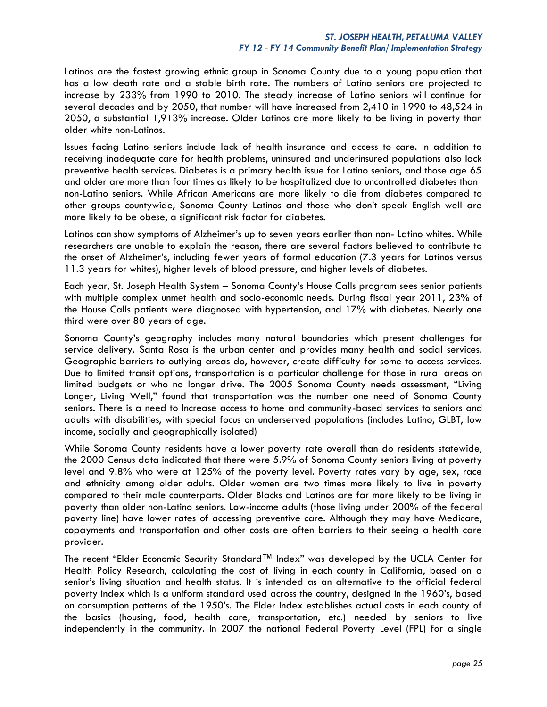Latinos are the fastest growing ethnic group in Sonoma County due to a young population that has a low death rate and a stable birth rate. The numbers of Latino seniors are projected to increase by 233% from 1990 to 2010. The steady increase of Latino seniors will continue for several decades and by 2050, that number will have increased from 2,410 in 1990 to 48,524 in 2050, a substantial 1,913% increase. Older Latinos are more likely to be living in poverty than older white non-Latinos.

Issues facing Latino seniors include lack of health insurance and access to care. In addition to receiving inadequate care for health problems, uninsured and underinsured populations also lack preventive health services. Diabetes is a primary health issue for Latino seniors, and those age 65 and older are more than four times as likely to be hospitalized due to uncontrolled diabetes than non-Latino seniors. While African Americans are more likely to die from diabetes compared to other groups countywide, Sonoma County Latinos and those who don't speak English well are more likely to be obese, a significant risk factor for diabetes.

Latinos can show symptoms of Alzheimer's up to seven years earlier than non- Latino whites. While researchers are unable to explain the reason, there are several factors believed to contribute to the onset of Alzheimer's, including fewer years of formal education (7.3 years for Latinos versus 11.3 years for whites), higher levels of blood pressure, and higher levels of diabetes.

Each year, St. Joseph Health System – Sonoma County's House Calls program sees senior patients with multiple complex unmet health and socio-economic needs. During fiscal year 2011, 23% of the House Calls patients were diagnosed with hypertension, and 17% with diabetes. Nearly one third were over 80 years of age.

Sonoma County's geography includes many natural boundaries which present challenges for service delivery. Santa Rosa is the urban center and provides many health and social services. Geographic barriers to outlying areas do, however, create difficulty for some to access services. Due to limited transit options, transportation is a particular challenge for those in rural areas on limited budgets or who no longer drive. The 2005 Sonoma County needs assessment, "Living Longer, Living Well," found that transportation was the number one need of Sonoma County seniors. There is a need to Increase access to home and community-based services to seniors and adults with disabilities, with special focus on underserved populations (includes Latino, GLBT, low income, socially and geographically isolated)

While Sonoma County residents have a lower poverty rate overall than do residents statewide, the 2000 Census data indicated that there were 5.9% of Sonoma County seniors living at poverty level and 9.8% who were at 125% of the poverty level. Poverty rates vary by age, sex, race and ethnicity among older adults. Older women are two times more likely to live in poverty compared to their male counterparts. Older Blacks and Latinos are far more likely to be living in poverty than older non-Latino seniors. Low-income adults (those living under 200% of the federal poverty line) have lower rates of accessing preventive care. Although they may have Medicare, copayments and transportation and other costs are often barriers to their seeing a health care provider.

The recent "Elder Economic Security Standard™ Index" was developed by the UCLA Center for Health Policy Research, calculating the cost of living in each county in California, based on a senior's living situation and health status. It is intended as an alternative to the official federal poverty index which is a uniform standard used across the country, designed in the 1960's, based on consumption patterns of the 1950's. The Elder Index establishes actual costs in each county of the basics (housing, food, health care, transportation, etc.) needed by seniors to live independently in the community. In 2007 the national Federal Poverty Level (FPL) for a single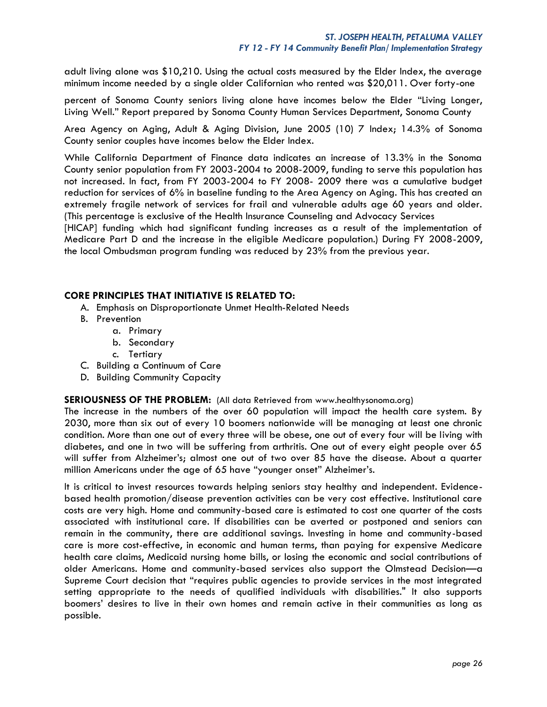adult living alone was \$10,210. Using the actual costs measured by the Elder Index, the average minimum income needed by a single older Californian who rented was \$20,011. Over forty-one

percent of Sonoma County seniors living alone have incomes below the Elder "Living Longer, Living Well." Report prepared by Sonoma County Human Services Department, Sonoma County

Area Agency on Aging, Adult & Aging Division, June 2005 (10) 7 Index; 14.3% of Sonoma County senior couples have incomes below the Elder Index.

While California Department of Finance data indicates an increase of 13.3% in the Sonoma County senior population from FY 2003-2004 to 2008-2009, funding to serve this population has not increased. In fact, from FY 2003-2004 to FY 2008- 2009 there was a cumulative budget reduction for services of 6% in baseline funding to the Area Agency on Aging. This has created an extremely fragile network of services for frail and vulnerable adults age 60 years and older. (This percentage is exclusive of the Health Insurance Counseling and Advocacy Services

[HICAP] funding which had significant funding increases as a result of the implementation of Medicare Part D and the increase in the eligible Medicare population.) During FY 2008-2009, the local Ombudsman program funding was reduced by 23% from the previous year.

## **CORE PRINCIPLES THAT INITIATIVE IS RELATED TO:**

- A. Emphasis on Disproportionate Unmet Health-Related Needs
- B. Prevention
	- a. Primary
	- b. Secondary
	- c. Tertiary
- C. Building a Continuum of Care
- D. Building Community Capacity

**SERIOUSNESS OF THE PROBLEM:** (All data Retrieved from [www.healthysonoma.org\)](http://www.healthysonoma.org/)

The increase in the numbers of the over 60 population will impact the health care system. By 2030, more than six out of every 10 boomers nationwide will be managing at least one chronic condition. More than one out of every three will be obese, one out of every four will be living with diabetes, and one in two will be suffering from arthritis. One out of every eight people over 65 will suffer from Alzheimer's; almost one out of two over 85 have the disease. About a quarter million Americans under the age of 65 have "younger onset" Alzheimer's.

It is critical to invest resources towards helping seniors stay healthy and independent. Evidencebased health promotion/disease prevention activities can be very cost effective. Institutional care costs are very high. Home and community-based care is estimated to cost one quarter of the costs associated with institutional care. If disabilities can be averted or postponed and seniors can remain in the community, there are additional savings. Investing in home and community-based care is more cost-effective, in economic and human terms, than paying for expensive Medicare health care claims, Medicaid nursing home bills, or losing the economic and social contributions of older Americans. Home and community-based services also support the Olmstead Decision—a Supreme Court decision that "requires public agencies to provide services in the most integrated setting appropriate to the needs of qualified individuals with disabilities." It also supports boomers' desires to live in their own homes and remain active in their communities as long as possible.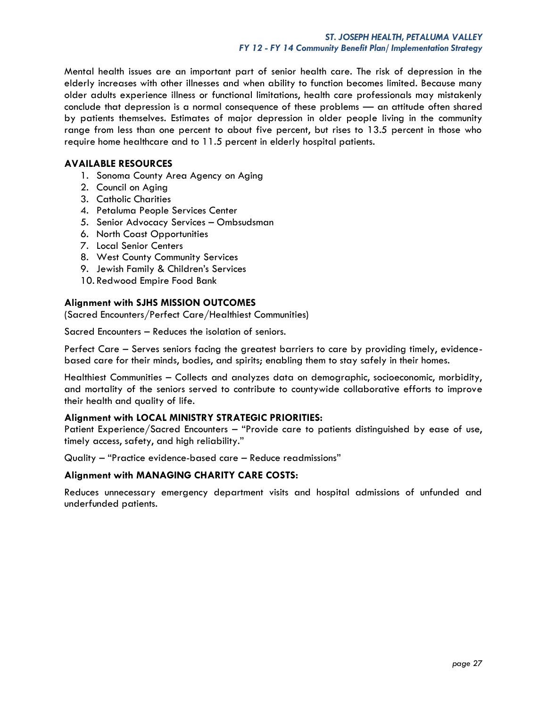Mental health issues are an important part of senior health care. The risk of depression in the elderly increases with other illnesses and when ability to function becomes limited. Because many older adults experience illness or functional limitations, health care professionals may mistakenly conclude that depression is a normal consequence of these problems — an attitude often shared by patients themselves. Estimates of major depression in older people living in the community range from less than one percent to about five percent, but rises to 13.5 percent in those who require home healthcare and to 11.5 percent in elderly hospital patients.

## **AVAILABLE RESOURCES**

- 1. Sonoma County Area Agency on Aging
- 2. Council on Aging
- 3. Catholic Charities
- 4. Petaluma People Services Center
- 5. Senior Advocacy Services Ombsudsman
- 6. North Coast Opportunities
- 7. Local Senior Centers
- 8. West County Community Services
- 9. Jewish Family & Children's Services
- 10. Redwood Empire Food Bank

## **Alignment with SJHS MISSION OUTCOMES**

(Sacred Encounters/Perfect Care/Healthiest Communities)

Sacred Encounters – Reduces the isolation of seniors.

Perfect Care – Serves seniors facing the greatest barriers to care by providing timely, evidencebased care for their minds, bodies, and spirits; enabling them to stay safely in their homes.

Healthiest Communities – Collects and analyzes data on demographic, socioeconomic, morbidity, and mortality of the seniors served to contribute to countywide collaborative efforts to improve their health and quality of life.

## **Alignment with LOCAL MINISTRY STRATEGIC PRIORITIES:**

Patient Experience/Sacred Encounters – "Provide care to patients distinguished by ease of use, timely access, safety, and high reliability."

Quality – "Practice evidence-based care – Reduce readmissions"

## **Alignment with MANAGING CHARITY CARE COSTS:**

Reduces unnecessary emergency department visits and hospital admissions of unfunded and underfunded patients.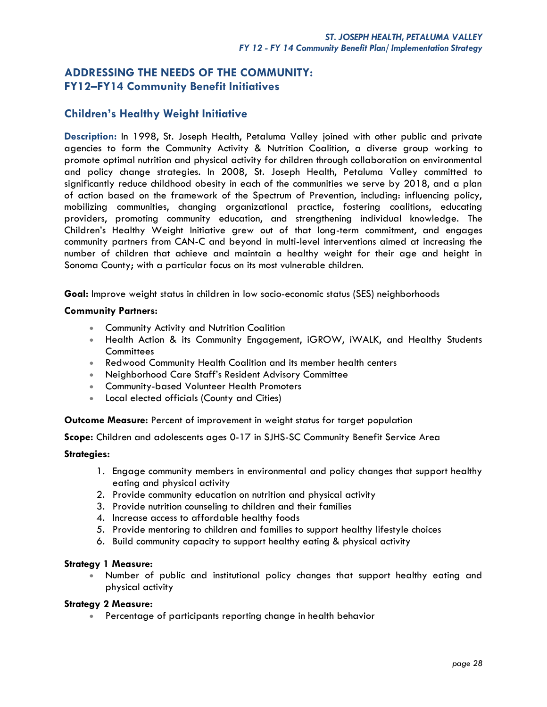# **ADDRESSING THE NEEDS OF THE COMMUNITY: FY12–FY14 Community Benefit Initiatives**

# **Children's Healthy Weight Initiative**

**Description:** In 1998, St. Joseph Health, Petaluma Valley joined with other public and private agencies to form the Community Activity & Nutrition Coalition, a diverse group working to promote optimal nutrition and physical activity for children through collaboration on environmental and policy change strategies. In 2008, St. Joseph Health, Petaluma Valley committed to significantly reduce childhood obesity in each of the communities we serve by 2018, and a plan of action based on the framework of the Spectrum of Prevention, including: influencing policy, mobilizing communities, changing organizational practice, fostering coalitions, educating providers, promoting community education, and strengthening individual knowledge. The Children's Healthy Weight Initiative grew out of that long-term commitment, and engages community partners from CAN-C and beyond in multi-level interventions aimed at increasing the number of children that achieve and maintain a healthy weight for their age and height in Sonoma County; with a particular focus on its most vulnerable children.

**Goal:** Improve weight status in children in low socio-economic status (SES) neighborhoods

## **Community Partners:**

- Community Activity and Nutrition Coalition
- Health Action & its Community Engagement, iGROW, iWALK, and Healthy Students **Committees**
- Redwood Community Health Coalition and its member health centers
- Neighborhood Care Staff's Resident Advisory Committee
- Community-based Volunteer Health Promoters
- Local elected officials (County and Cities)

**Outcome Measure:** Percent of improvement in weight status for target population

**Scope:** Children and adolescents ages 0-17 in SJHS-SC Community Benefit Service Area

#### **Strategies:**

- 1. Engage community members in environmental and policy changes that support healthy eating and physical activity
- 2. Provide community education on nutrition and physical activity
- 3. Provide nutrition counseling to children and their families
- 4. Increase access to affordable healthy foods
- 5. Provide mentoring to children and families to support healthy lifestyle choices
- 6. Build community capacity to support healthy eating & physical activity

#### **Strategy 1 Measure:**

 Number of public and institutional policy changes that support healthy eating and physical activity

#### **Strategy 2 Measure:**

Percentage of participants reporting change in health behavior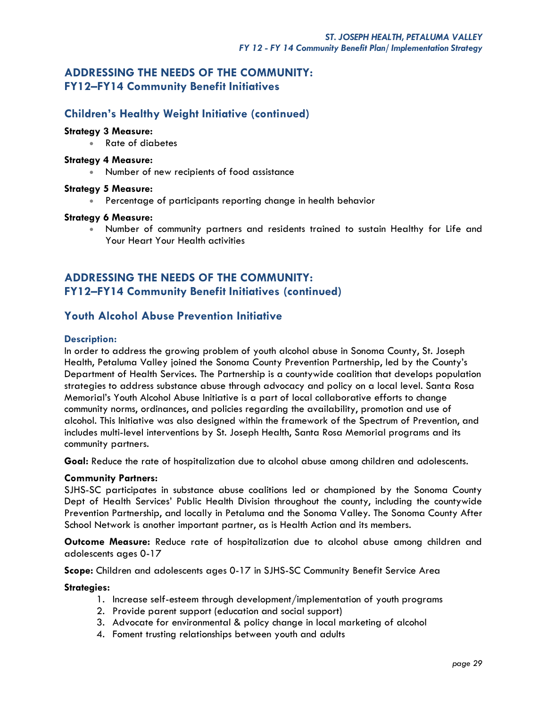# **ADDRESSING THE NEEDS OF THE COMMUNITY: FY12–FY14 Community Benefit Initiatives**

# **Children's Healthy Weight Initiative (continued)**

## **Strategy 3 Measure:**

Rate of diabetes

## **Strategy 4 Measure:**

Number of new recipients of food assistance

## **Strategy 5 Measure:**

Percentage of participants reporting change in health behavior

## **Strategy 6 Measure:**

 Number of community partners and residents trained to sustain Healthy for Life and Your Heart Your Health activities

# **ADDRESSING THE NEEDS OF THE COMMUNITY: FY12–FY14 Community Benefit Initiatives (continued)**

# **Youth Alcohol Abuse Prevention Initiative**

## **Description:**

In order to address the growing problem of youth alcohol abuse in Sonoma County, St. Joseph Health, Petaluma Valley joined the Sonoma County Prevention Partnership, led by the County's Department of Health Services. The Partnership is a countywide coalition that develops population strategies to address substance abuse through advocacy and policy on a local level. Santa Rosa Memorial's Youth Alcohol Abuse Initiative is a part of local collaborative efforts to change community norms, ordinances, and policies regarding the availability, promotion and use of alcohol. This Initiative was also designed within the framework of the Spectrum of Prevention, and includes multi-level interventions by St. Joseph Health, Santa Rosa Memorial programs and its community partners.

**Goal:** Reduce the rate of hospitalization due to alcohol abuse among children and adolescents.

#### **Community Partners:**

SJHS-SC participates in substance abuse coalitions led or championed by the Sonoma County Dept of Health Services' Public Health Division throughout the county, including the countywide Prevention Partnership, and locally in Petaluma and the Sonoma Valley. The Sonoma County After School Network is another important partner, as is Health Action and its members.

**Outcome Measure:** Reduce rate of hospitalization due to alcohol abuse among children and adolescents ages 0-17

**Scope:** Children and adolescents ages 0-17 in SJHS-SC Community Benefit Service Area

#### **Strategies:**

- 1. Increase self-esteem through development/implementation of youth programs
- 2. Provide parent support (education and social support)
- 3. Advocate for environmental & policy change in local marketing of alcohol
- 4. Foment trusting relationships between youth and adults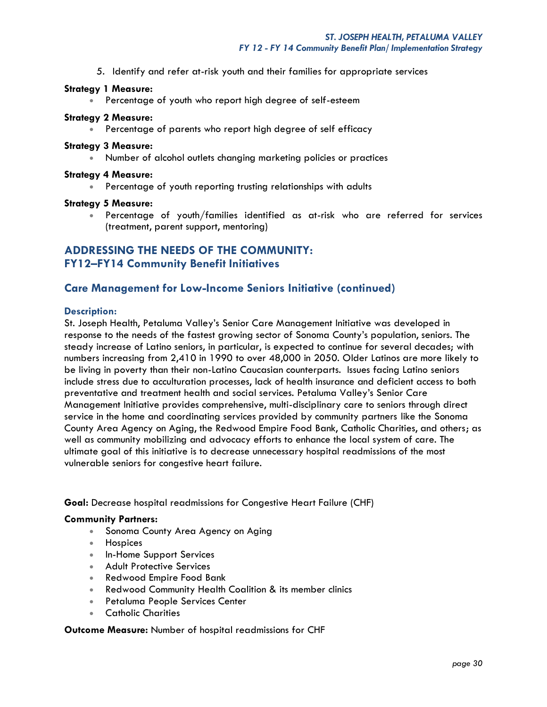5. Identify and refer at-risk youth and their families for appropriate services

#### **Strategy 1 Measure:**

Percentage of youth who report high degree of self-esteem

#### **Strategy 2 Measure:**

Percentage of parents who report high degree of self efficacy

#### **Strategy 3 Measure:**

Number of alcohol outlets changing marketing policies or practices

#### **Strategy 4 Measure:**

Percentage of youth reporting trusting relationships with adults

#### **Strategy 5 Measure:**

 Percentage of youth/families identified as at-risk who are referred for services (treatment, parent support, mentoring)

# **ADDRESSING THE NEEDS OF THE COMMUNITY: FY12–FY14 Community Benefit Initiatives**

# **Care Management for Low-Income Seniors Initiative (continued)**

#### **Description:**

St. Joseph Health, Petaluma Valley's Senior Care Management Initiative was developed in response to the needs of the fastest growing sector of Sonoma County's population, seniors. The steady increase of Latino seniors, in particular, is expected to continue for several decades; with numbers increasing from 2,410 in 1990 to over 48,000 in 2050. Older Latinos are more likely to be living in poverty than their non-Latino Caucasian counterparts. Issues facing Latino seniors include stress due to acculturation processes, lack of health insurance and deficient access to both preventative and treatment health and social services. Petaluma Valley's Senior Care Management Initiative provides comprehensive, multi-disciplinary care to seniors through direct service in the home and coordinating services provided by community partners like the Sonoma County Area Agency on Aging, the Redwood Empire Food Bank, Catholic Charities, and others; as well as community mobilizing and advocacy efforts to enhance the local system of care. The ultimate goal of this initiative is to decrease unnecessary hospital readmissions of the most vulnerable seniors for congestive heart failure.

**Goal:** Decrease hospital readmissions for Congestive Heart Failure (CHF)

#### **Community Partners:**

- Sonoma County Area Agency on Aging
- Hospices
- In-Home Support Services
- **Adult Protective Services**
- Redwood Empire Food Bank
- Redwood Community Health Coalition & its member clinics
- **Petaluma People Services Center**
- Catholic Charities

#### **Outcome Measure:** Number of hospital readmissions for CHF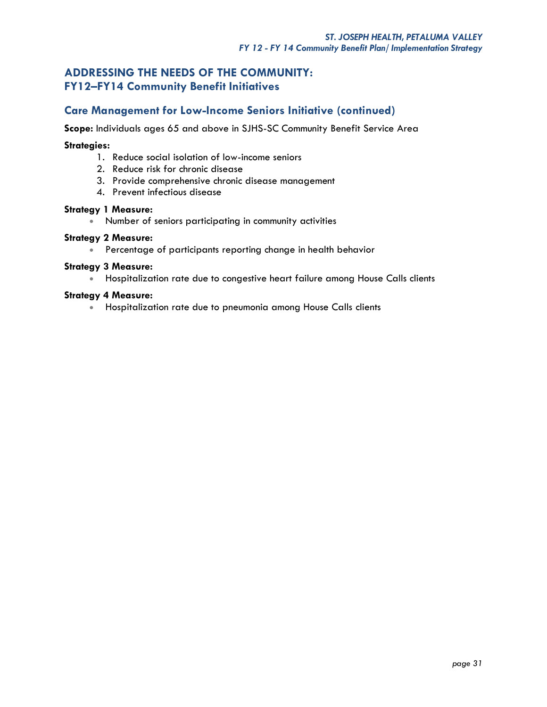# **ADDRESSING THE NEEDS OF THE COMMUNITY: FY12–FY14 Community Benefit Initiatives**

# **Care Management for Low-Income Seniors Initiative (continued)**

**Scope:** Individuals ages 65 and above in SJHS-SC Community Benefit Service Area

## **Strategies:**

- 1. Reduce social isolation of low-income seniors
- 2. Reduce risk for chronic disease
- 3. Provide comprehensive chronic disease management
- 4. Prevent infectious disease

#### **Strategy 1 Measure:**

Number of seniors participating in community activities

#### **Strategy 2 Measure:**

Percentage of participants reporting change in health behavior

## **Strategy 3 Measure:**

Hospitalization rate due to congestive heart failure among House Calls clients

## **Strategy 4 Measure:**

**• Hospitalization rate due to pneumonia among House Calls clients**